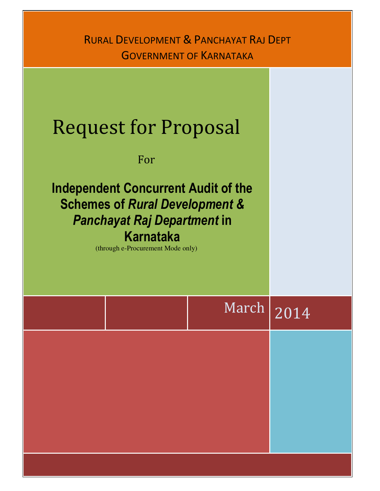# RURAL DEVELOPMENT & PANCHAYAT RAJ DEPT GOVERNMENT OF KARNATAKA

# $March$  2014 Request for Proposal For Independent Concurrent Audit of the Schemes of Rural Development & Panchayat Raj Department in Karnataka (through e-Procurement Mode only)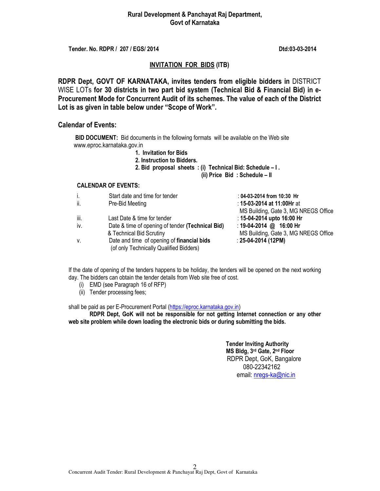#### Rural Development & Panchayat Raj Department, Govt of Karnataka

Tender. No. RDPR / 207 / EGS/ 2014 **Dtd:03-03-2014** Dtd:03-03-2014

#### INVITATION FOR BIDS (ITB)

RDPR Dept, GOVT OF KARNATAKA, invites tenders from eligible bidders in DISTRICT WISE LOTs for 30 districts in two part bid system (Technical Bid & Financial Bid) in e-Procurement Mode for Concurrent Audit of its schemes. The value of each of the District Lot is as given in table below under "Scope of Work".

#### Calendar of Events:

**BID DOCUMENT:** Bid documents in the following formats will be available on the Web site www.eproc.karnataka.gov.in

- 1. Invitation for Bids
- 2. Instruction to Bidders.
- 2. Bid proposal sheets : (i) Technical Bid: Schedule I .

(ii) Price Bid : Schedule – II

#### CALENDAR OF EVENTS:

| i.   | Start date and time for tender                                                        | : 04-03-2014 from 10:30 Hr           |
|------|---------------------------------------------------------------------------------------|--------------------------------------|
| ii.  | Pre-Bid Meeting                                                                       | : 15-03-2014 at 11:00Hr at           |
|      |                                                                                       | MS Building, Gate 3, MG NREGS Office |
| iii. | Last Date & time for tender                                                           | : 15-04-2014 upto 16:00 Hr           |
| iv.  | Date & time of opening of tender (Technical Bid)                                      | : 19-04-2014 @ 16:00 Hr              |
|      | & Technical Bid Scrutiny                                                              | MS Building, Gate 3, MG NREGS Office |
| V.   | Date and time of opening of financial bids<br>(of only Technically Qualified Bidders) | $: 25-04-2014 (12PM)$                |
|      |                                                                                       |                                      |

If the date of opening of the tenders happens to be holiday, the tenders will be opened on the next working day. The bidders can obtain the tender details from Web site free of cost.

- (i) EMD (see Paragraph 16 of RFP)
- (ii) Tender processing fees;

shall be paid as per E-Procurement Portal (https://eproc.karnataka.gov.in)

RDPR Dept, GoK will not be responsible for not getting Internet connection or any other web site problem while down loading the electronic bids or during submitting the bids.

> Tender Inviting Authority MS Bldg, 3rd Gate, 2nd Floor RDPR Dept, GoK, Bangalore 080-22342162 email: nregs-ka@nic.in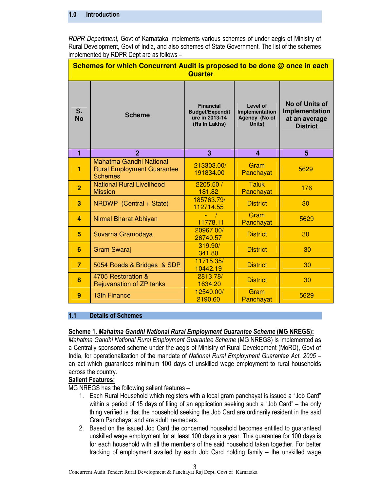#### 1.0 Introduction

RDPR Department, Govt of Karnataka implements various schemes of under aegis of Ministry of Rural Development, Govt of India, and also schemes of State Government. The list of the schemes implemented by RDPR Dept are as follows –

| Schemes for which Concurrent Audit is proposed to be done @ once in each<br><b>Quarter</b> |                                                                                |                                                                               |                                                       |                                                                             |  |
|--------------------------------------------------------------------------------------------|--------------------------------------------------------------------------------|-------------------------------------------------------------------------------|-------------------------------------------------------|-----------------------------------------------------------------------------|--|
| S.<br><b>No</b>                                                                            | <b>Scheme</b>                                                                  | <b>Financial</b><br><b>Budget/Expendit</b><br>ure in 2013-14<br>(Rs In Lakhs) | Level of<br>Implementation<br>Agency (No of<br>Units) | <b>No of Units of</b><br>Implementation<br>at an average<br><b>District</b> |  |
| $\blacksquare$                                                                             | $\overline{2}$                                                                 | 3                                                                             | $\overline{\mathbf{4}}$                               | 5                                                                           |  |
| 1                                                                                          | Mahatma Gandhi National<br><b>Rural Employment Guarantee</b><br><b>Schemes</b> | 213303.00/<br>191834.00                                                       | Gram<br>Panchayat                                     | 5629                                                                        |  |
| $\overline{2}$                                                                             | <b>National Rural Livelihood</b><br><b>Mission</b>                             | 2205.50 /<br>181.82                                                           | <b>Taluk</b><br>Panchayat                             | 176                                                                         |  |
| 3                                                                                          | NRDWP (Central + State)                                                        | 185763.79/<br>112714.55                                                       | <b>District</b>                                       | 30                                                                          |  |
| $\overline{4}$                                                                             | Nirmal Bharat Abhiyan                                                          | 11778.11                                                                      | Gram<br>Panchayat                                     | 5629                                                                        |  |
| 5                                                                                          | Suvarna Gramodaya                                                              | 20967.00/<br>26740.57                                                         | <b>District</b>                                       | 30                                                                          |  |
| 6                                                                                          | <b>Gram Swaraj</b>                                                             | 319.90/<br>341.80                                                             | <b>District</b>                                       | 30                                                                          |  |
| $\overline{7}$                                                                             | 5054 Roads & Bridges & SDP                                                     | 11715.35/<br>10442.19                                                         | <b>District</b>                                       | 30                                                                          |  |
| 8                                                                                          | 4705 Restoration &<br>Rejuvanation of ZP tanks                                 | 2813.78/<br>1634.20                                                           | <b>District</b>                                       | 30                                                                          |  |
| 9                                                                                          | <b>13th Finance</b>                                                            | 12540.00/<br>2190.60                                                          | Gram<br>Panchayat                                     | 5629                                                                        |  |

#### 1.1 Details of Schemes

#### Scheme 1. Mahatma Gandhi National Rural Employment Guarantee Scheme (MG NREGS):

Mahatma Gandhi National Rural Employment Guarantee Scheme (MG NREGS) is implemented as a Centrally sponsored scheme under the aegis of Ministry of Rural Development (MoRD), Govt of India, for operationalization of the mandate of National Rural Employment Guarantee Act, 2005 – an act which guarantees minimum 100 days of unskilled wage employment to rural households across the country.

## Salient Features:

MG NREGS has the following salient features –

- 1. Each Rural Household which registers with a local gram panchayat is issued a "Job Card" within a period of 15 days of filing of an application seeking such a "Job Card" – the only thing verified is that the household seeking the Job Card are ordinarily resident in the said Gram Panchayat and are adult memebers.
- 2. Based on the issued Job Card the concerned household becomes entitled to guaranteed unskilled wage employment for at least 100 days in a year. This guarantee for 100 days is for each household with all the members of the said household taken together. For better tracking of employment availed by each Job Card holding family – the unskilled wage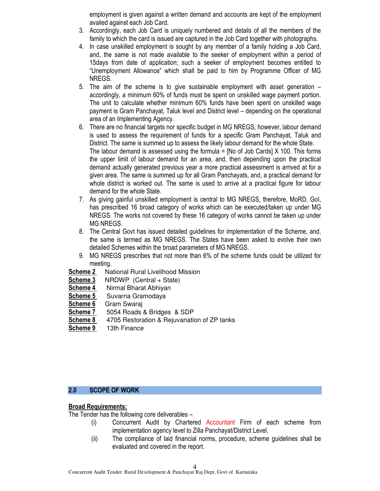employment is given against a written demand and accounts are kept of the employment availed against each Job Card.

- 3. Accordingly, each Job Card is uniquely numbered and details of all the members of the family to which the card is issued are captured in the Job Card together with photographs.
- 4. In case unskilled employment is sought by any member of a family holding a Job Card, and, the same is not made available to the seeker of employment within a period of 15days from date of application; such a seeker of employment becomes entitled to "Unemployment Allowance" which shall be paid to him by Programme Officer of MG NREGS.
- 5. The aim of the scheme is to give sustainable employment with asset generation accordingly, a minimum 60% of funds must be spent on unskilled wage payment portion. The unit to calculate whether minimum 60% funds have been spent on unskilled wage payment is Gram Panchayat, Taluk level and District level – depending on the operational area of an Implementing Agency.
- 6. There are no financial targets nor specific budget in MG NREGS, however, labour demand is used to assess the requirement of funds for a specific Gram Panchayat, Taluk and District. The same is summed up to assess the likely labour demand for the whole State. The labour demand is assessed using the formula = [No of Job Cards] X 100. This forms the upper limit of labour demand for an area, and, then depending upon the practical demand actually generated previous year a more practical assessment is arrived at for a given area. The same is summed up for all Gram Panchayats, and, a practical demand for whole district is worked out. The same is used to arrive at a practical figure for labour demand for the whole State.
- 7. As giving gainful unskilled employment is central to MG NREGS, therefore, MoRD, GoI, has prescribed 16 broad category of works which can be executed/taken up under MG NREGS. The works not covered by these 16 category of works cannot be taken up under MG NREGS.
- 8. The Central Govt has issued detailed guidelines for implementation of the Scheme, and, the same is termed as MG NREGS. The States have been asked to evolve their own detailed Schemes within the broad parameters of MG NREGS.
- 9. MG NREGS prescribes that not more than 6% of the scheme funds could be utilized for meeting.
- **Scheme 2** National Rural Livelihood Mission
- Scheme 3 NRDWP (Central + State)
- Scheme 4 Nirmal Bharat Abhiyan
- Scheme 5 Suvarna Gramodaya
- Scheme 6 Gram Swaraj
- Scheme 7 5054 Roads & Bridges & SDP
- Scheme 8 4705 Restoration & Rejuvanation of ZP tanks
- Scheme 9 13th Finance

## 2.0 SCOPE OF WORK

## Broad Requirements:

The Tender has the following core deliverables –

- (i) Concurrent Audit by Chartered Accountant Firm of each scheme from implementation agency level to Zilla Panchayat/District Level.
- (ii) The compliance of laid financial norms, procedure, scheme guidelines shall be evaluated and covered in the report.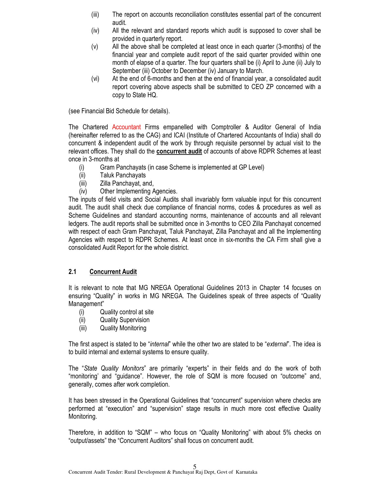- (iii) The report on accounts reconciliation constitutes essential part of the concurrent audit.
- (iv) All the relevant and standard reports which audit is supposed to cover shall be provided in quarterly report.
- (v) All the above shall be completed at least once in each quarter (3-months) of the financial year and complete audit report of the said quarter provided within one month of elapse of a quarter. The four quarters shall be (i) April to June (ii) July to September (iii) October to December (iv) January to March.
- (vi) At the end of 6-months and then at the end of financial year, a consolidated audit report covering above aspects shall be submitted to CEO ZP concerned with a copy to State HQ.

(see Financial Bid Schedule for details).

The Chartered Accountant Firms empanelled with Comptroller & Auditor General of India (hereinafter referred to as the CAG) and ICAI (Institute of Chartered Accountants of India) shall do concurrent & independent audit of the work by through requisite personnel by actual visit to the relevant offices. They shall do the **concurrent audit** of accounts of above RDPR Schemes at least once in 3-months at

- (i) Gram Panchayats (in case Scheme is implemented at GP Level)
- (ii) Taluk Panchayats
- (iii) Zilla Panchayat, and,
- (iv) Other Implementing Agencies.

The inputs of field visits and Social Audits shall invariably form valuable input for this concurrent audit. The audit shall check due compliance of financial norms, codes & procedures as well as Scheme Guidelines and standard accounting norms, maintenance of accounts and all relevant ledgers. The audit reports shall be submitted once in 3-months to CEO Zilla Panchayat concerned with respect of each Gram Panchayat, Taluk Panchayat, Zilla Panchayat and all the Implementing Agencies with respect to RDPR Schemes. At least once in six-months the CA Firm shall give a consolidated Audit Report for the whole district.

## 2.1 Concurrent Audit

It is relevant to note that MG NREGA Operational Guidelines 2013 in Chapter 14 focuses on ensuring "Quality" in works in MG NREGA. The Guidelines speak of three aspects of "Quality Management"

- (i) Quality control at site
- (ii) Quality Supervision
- (iii) Quality Monitoring

The first aspect is stated to be "internal" while the other two are stated to be "external". The idea is to build internal and external systems to ensure quality.

The "State Quality Monitors" are primarily "experts" in their fields and do the work of both "monitoring' and "guidance". However, the role of SQM is more focused on "outcome" and, generally, comes after work completion.

It has been stressed in the Operational Guidelines that "concurrent" supervision where checks are performed at "execution" and "supervision" stage results in much more cost effective Quality Monitoring.

Therefore, in addition to "SQM" – who focus on "Quality Monitoring" with about 5% checks on "output/assets" the "Concurrent Auditors" shall focus on concurrent audit.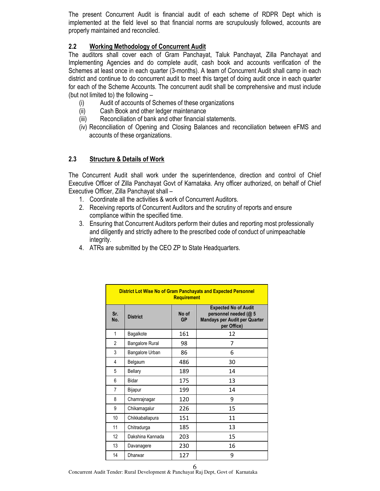The present Concurrent Audit is financial audit of each scheme of RDPR Dept which is implemented at the field level so that financial norms are scrupulously followed, accounts are properly maintained and reconciled.

# 2.2 Working Methodology of Concurrent Audit

The auditors shall cover each of Gram Panchayat, Taluk Panchayat, Zilla Panchayat and Implementing Agencies and do complete audit, cash book and accounts verification of the Schemes at least once in each quarter (3-months). A team of Concurrent Audit shall camp in each district and continue to do concurrent audit to meet this target of doing audit once in each quarter for each of the Scheme Accounts. The concurrent audit shall be comprehensive and must include (but not limited to) the following –

- (i) Audit of accounts of Schemes of these organizations
- (ii) Cash Book and other ledger maintenance
- (iii) Reconciliation of bank and other financial statements.
- (iv) Reconciliation of Opening and Closing Balances and reconciliation between eFMS and accounts of these organizations.

# 2.3 Structure & Details of Work

The Concurrent Audit shall work under the superintendence, direction and control of Chief Executive Officer of Zilla Panchayat Govt of Karnataka. Any officer authorized, on behalf of Chief Executive Officer, Zilla Panchayat shall –

- 1. Coordinate all the activities & work of Concurrent Auditors.
- 2. Receiving reports of Concurrent Auditors and the scrutiny of reports and ensure compliance within the specified time.
- 3. Ensuring that Concurrent Auditors perform their duties and reporting most professionally and diligently and strictly adhere to the prescribed code of conduct of unimpeachable integrity.
- 4. ATRs are submitted by the CEO ZP to State Headquarters.

| <b>District Lot Wise No of Gram Panchayats and Expected Personnel</b><br><b>Requirement</b> |                                       |     |                                                                                                             |  |
|---------------------------------------------------------------------------------------------|---------------------------------------|-----|-------------------------------------------------------------------------------------------------------------|--|
| Sr.<br>No.                                                                                  | No of<br><b>District</b><br><b>GP</b> |     | <b>Expected No of Audit</b><br>personnel needed (@ 5<br><b>Mandays per Audit per Quarter</b><br>per Office) |  |
| 1                                                                                           | Bagalkote                             | 161 | 12                                                                                                          |  |
| $\overline{2}$                                                                              | <b>Bangalore Rural</b>                | 98  | 7                                                                                                           |  |
| 3                                                                                           | Bangalore Urban                       | 86  | 6                                                                                                           |  |
| 4                                                                                           | Belgaum                               | 486 | 30                                                                                                          |  |
| 5                                                                                           | Bellary                               | 189 | 14                                                                                                          |  |
| 6                                                                                           | Bidar                                 | 175 | 13                                                                                                          |  |
| 7                                                                                           | Bijapur                               | 199 | 14                                                                                                          |  |
| 8                                                                                           | Chamrajnagar                          | 120 | 9                                                                                                           |  |
| 9                                                                                           | Chikamagalur                          | 226 | 15                                                                                                          |  |
| 10                                                                                          | Chikkaballapura                       | 151 | 11                                                                                                          |  |
| 11                                                                                          | Chitradurga                           | 185 | 13                                                                                                          |  |
| 12                                                                                          | Dakshina Kannada                      | 203 | 15                                                                                                          |  |
| 13                                                                                          | Davanagere                            | 230 | 16                                                                                                          |  |
| 14                                                                                          | Dharwar                               | 127 | 9                                                                                                           |  |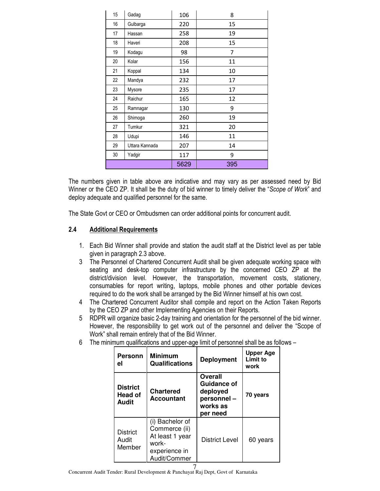| 15 | Gadag          | 106  | 8   |
|----|----------------|------|-----|
| 16 | Gulbarga       | 220  | 15  |
| 17 | Hassan         | 258  | 19  |
| 18 | Haveri         | 208  | 15  |
| 19 | Kodagu         | 98   | 7   |
| 20 | Kolar          | 156  | 11  |
| 21 | Koppal         | 134  | 10  |
| 22 | Mandya         | 232  | 17  |
| 23 | Mysore         | 235  | 17  |
| 24 | Raichur        | 165  | 12  |
| 25 | Ramnagar       | 130  | 9   |
| 26 | Shimoga        | 260  | 19  |
| 27 | Tumkur         | 321  | 20  |
| 28 | Udupi          | 146  | 11  |
| 29 | Uttara Kannada | 207  | 14  |
| 30 | Yadgir         | 117  | 9   |
|    |                | 5629 | 395 |

The numbers given in table above are indicative and may vary as per assessed need by Bid Winner or the CEO ZP. It shall be the duty of bid winner to timely deliver the "Scope of Work" and deploy adequate and qualified personnel for the same.

The State Govt or CEO or Ombudsmen can order additional points for concurrent audit.

## 2.4 Additional Requirements

- 1. Each Bid Winner shall provide and station the audit staff at the District level as per table given in paragraph 2.3 above.
- 3 The Personnel of Chartered Concurrent Audit shall be given adequate working space with seating and desk-top computer infrastructure by the concerned CEO ZP at the district/division level. However, the transportation, movement costs, stationery, consumables for report writing, laptops, mobile phones and other portable devices required to do the work shall be arranged by the Bid Winner himself at his own cost.
- 4 The Chartered Concurrent Auditor shall compile and report on the Action Taken Reports by the CEO ZP and other Implementing Agencies on their Reports.
- 5 RDPR will organize basic 2-day training and orientation for the personnel of the bid winner. However, the responsibility to get work out of the personnel and deliver the "Scope of Work" shall remain entirely that of the Bid Winner.
- 6 The minimum qualifications and upper-age limit of personnel shall be as follows –

| <b>Personn</b><br>el                | <b>Minimum</b><br><b>Qualifications</b>                                                       | <b>Deployment</b>                                                        | <b>Upper Age</b><br>Limit to<br>work |
|-------------------------------------|-----------------------------------------------------------------------------------------------|--------------------------------------------------------------------------|--------------------------------------|
| <b>District</b><br>Head of<br>Audit | <b>Chartered</b><br><b>Accountant</b>                                                         | Overall<br>Guidance of<br>deployed<br>personnel-<br>works as<br>per need | 70 years                             |
| <b>District</b><br>Audit<br>Member  | (i) Bachelor of<br>Commerce (ii)<br>At least 1 year<br>work-<br>experience in<br>Audit/Commer | District Level                                                           | 60 years                             |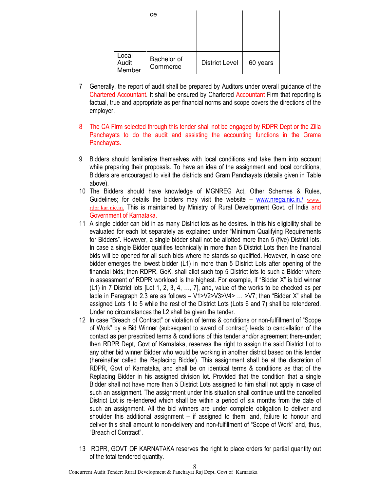|                          | ce                      |                       |          |
|--------------------------|-------------------------|-----------------------|----------|
| Local<br>Audit<br>Member | Bachelor of<br>Commerce | <b>District Level</b> | 60 years |

- 7 Generally, the report of audit shall be prepared by Auditors under overall guidance of the Chartered Accountant. It shall be ensured by Chartered Accountant Firm that reporting is factual, true and appropriate as per financial norms and scope covers the directions of the employer.
- 8 The CA Firm selected through this tender shall not be engaged by RDPR Dept or the Zilla Panchayats to do the audit and assisting the accounting functions in the Grama Panchayats.
- 9 Bidders should familiarize themselves with local conditions and take them into account while preparing their proposals. To have an idea of the assignment and local conditions, Bidders are encouraged to visit the districts and Gram Panchayats (details given in Table above).
- 10 The Bidders should have knowledge of MGNREG Act, Other Schemes & Rules, Guidelines; for details the bidders may visit the website – www.nrega.nic.in./ www. rdpr.kar.nic.in. This is maintained by Ministry of Rural Development Govt. of India and Government of Karnataka.
- 11 A single bidder can bid in as many District lots as he desires. In this his eligibility shall be evaluated for each lot separately as explained under "Minimum Qualifying Requirements for Bidders". However, a single bidder shall not be allotted more than 5 (five) District lots. In case a single Bidder qualifies technically in more than 5 District Lots then the financial bids will be opened for all such bids where he stands so qualified. However, in case one bidder emerges the lowest bidder (L1) in more than 5 District Lots after opening of the financial bids; then RDPR, GoK, shall allot such top 5 District lots to such a Bidder where in assessment of RDPR workload is the highest. For example, if "Bidder X" is bid winner (L1) in 7 District lots [Lot 1, 2, 3, 4, …, 7], and, value of the works to be checked as per table in Paragraph 2.3 are as follows  $- V1 > V2 > V3 > V4 > ... > V7$ ; then "Bidder X" shall be assigned Lots 1 to 5 while the rest of the District Lots (Lots 6 and 7) shall be retendered. Under no circumstances the L2 shall be given the tender.
- 12 In case "Breach of Contract" or violation of terms & conditions or non-fulfillment of "Scope of Work" by a Bid Winner (subsequent to award of contract) leads to cancellation of the contact as per prescribed terms & conditions of this tender and/or agreement there-under; then RDPR Dept, Govt of Karnataka, reserves the right to assign the said District Lot to any other bid winner Bidder who would be working in another district based on this tender (hereinafter called the Replacing Bidder). This assignment shall be at the discretion of RDPR, Govt of Karnataka, and shall be on identical terms & conditions as that of the Replacing Bidder in his assigned division lot. Provided that the condition that a single Bidder shall not have more than 5 District Lots assigned to him shall not apply in case of such an assignment. The assignment under this situation shall continue until the cancelled District Lot is re-tendered which shall be within a period of six months from the date of such an assignment. All the bid winners are under complete obligation to deliver and shoulder this additional assignment – if assigned to them, and, failure to honour and deliver this shall amount to non-delivery and non-fulfillment of "Scope of Work" and, thus, "Breach of Contract".
- 13 RDPR, GOVT OF KARNATAKA reserves the right to place orders for partial quantity out of the total tendered quantity.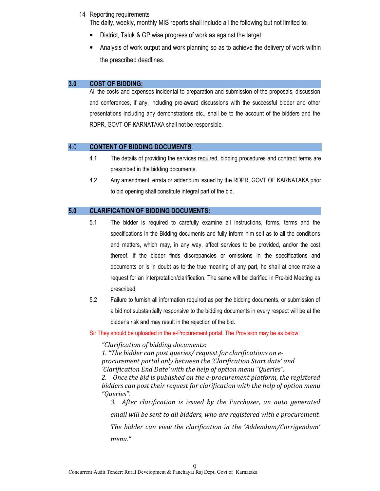#### 14 Reporting requirements

The daily, weekly, monthly MIS reports shall include all the following but not limited to:

- District, Taluk & GP wise progress of work as against the target
- Analysis of work output and work planning so as to achieve the delivery of work within the prescribed deadlines.

#### 3.0 COST OF BIDDING:

All the costs and expenses incidental to preparation and submission of the proposals, discussion and conferences, if any, including pre-award discussions with the successful bidder and other presentations including any demonstrations etc., shall be to the account of the bidders and the RDPR, GOVT OF KARNATAKA shall not be responsible.

#### 4.0 CONTENT OF BIDDING DOCUMENTS:

- 4.1 The details of providing the services required, bidding procedures and contract terms are prescribed in the bidding documents.
- 4.2 Any amendment, errata or addendum issued by the RDPR, GOVT OF KARNATAKA prior to bid opening shall constitute integral part of the bid.

#### 5.0 CLARIFICATION OF BIDDING DOCUMENTS:

- 5.1 The bidder is required to carefully examine all instructions, forms, terms and the specifications in the Bidding documents and fully inform him self as to all the conditions and matters, which may, in any way, affect services to be provided, and/or the cost thereof. If the bidder finds discrepancies or omissions in the specifications and documents or is in doubt as to the true meaning of any part, he shall at once make a request for an interpretation/clarification. The same will be clarified in Pre-bid Meeting as prescribed.
- 5.2 Failure to furnish all information required as per the bidding documents, or submission of a bid not substantially responsive to the bidding documents in every respect will be at the bidder's risk and may result in the rejection of the bid.

Sir They should be uploaded in the e-Procurement portal. The Provision may be as below:

"Clarification of bidding documents:

1. "The bidder can post queries/ request for clarifications on eprocurement portal only between the 'Clarification Start date' and 'Clarification End Date' with the help of option menu "Queries".

2. Once the bid is published on the e-procurement platform, the registered bidders can post their request for clarification with the help of option menu "Queries".

3. After clarification is issued by the Purchaser, an auto generated email will be sent to all bidders, who are registered with e procurement. The bidder can view the clarification in the 'Addendum/Corrigendum' menu."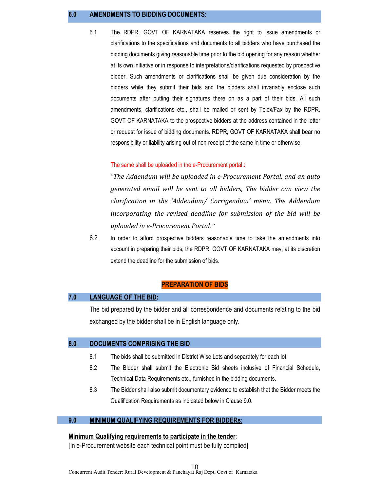#### 6.0 AMENDMENTS TO BIDDING DOCUMENTS:

6.1 The RDPR, GOVT OF KARNATAKA reserves the right to issue amendments or clarifications to the specifications and documents to all bidders who have purchased the bidding documents giving reasonable time prior to the bid opening for any reason whether at its own initiative or in response to interpretations/clarifications requested by prospective bidder. Such amendments or clarifications shall be given due consideration by the bidders while they submit their bids and the bidders shall invariably enclose such documents after putting their signatures there on as a part of their bids. All such amendments, clarifications etc., shall be mailed or sent by Telex/Fax by the RDPR, GOVT OF KARNATAKA to the prospective bidders at the address contained in the letter or request for issue of bidding documents. RDPR, GOVT OF KARNATAKA shall bear no responsibility or liability arising out of non-receipt of the same in time or otherwise.

#### The same shall be uploaded in the e-Procurement portal.:

"The Addendum will be uploaded in e-Procurement Portal, and an auto generated email will be sent to all bidders, The bidder can view the clarification in the 'Addendum/ Corrigendum' menu. The Addendum incorporating the revised deadline for submission of the bid will be uploaded in e-Procurement Portal*."*

6.2 In order to afford prospective bidders reasonable time to take the amendments into account in preparing their bids, the RDPR, GOVT OF KARNATAKA may, at its discretion extend the deadline for the submission of bids.

#### PREPARATION OF BIDS

#### 7.0 LANGUAGE OF THE BID:

The bid prepared by the bidder and all correspondence and documents relating to the bid exchanged by the bidder shall be in English language only.

#### 8.0 DOCUMENTS COMPRISING THE BID

- 8.1 The bids shall be submitted in District Wise Lots and separately for each lot.
- 8.2 The Bidder shall submit the Electronic Bid sheets inclusive of Financial Schedule, Technical Data Requirements etc., furnished in the bidding documents.
- 8.3 The Bidder shall also submit documentary evidence to establish that the Bidder meets the Qualification Requirements as indicated below in Clause 9.0.

#### 9.0 MINIMUM QUALIFYING REQUIREMENTS FOR BIDDERS:

#### Minimum Qualifying requirements to participate in the tender:

[In e-Procurement website each technical point must be fully complied]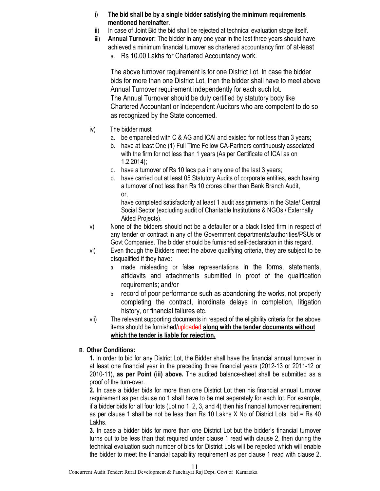- i) The bid shall be by a single bidder satisfying the minimum requirements mentioned hereinafter.
- ii) In case of Joint Bid the bid shall be rejected at technical evaluation stage itself.
- iii) Annual Turnover: The bidder in any one year in the last three years should have achieved a minimum financial turnover as chartered accountancy firm of at-least a. Rs 10.00 Lakhs for Chartered Accountancy work.

The above turnover requirement is for one District Lot. In case the bidder bids for more than one District Lot, then the bidder shall have to meet above Annual Turnover requirement independently for each such lot. The Annual Turnover should be duly certified by statutory body like Chartered Accountant or Independent Auditors who are competent to do so as recognized by the State concerned.

- iv) The bidder must
	- a. be empanelled with C & AG and ICAI and existed for not less than 3 years;
	- b. have at least One (1) Full Time Fellow CA-Partners continuously associated with the firm for not less than 1 years (As per Certificate of ICAI as on 1.2.2014);
	- c. have a turnover of Rs 10 lacs p.a in any one of the last 3 years;
	- d. have carried out at least 05 Statutory Audits of corporate entities, each having a turnover of not less than Rs 10 crores other than Bank Branch Audit, or,

have completed satisfactorily at least 1 audit assignments in the State/ Central Social Sector (excluding audit of Charitable Institutions & NGOs / Externally Aided Projects).

- v) None of the bidders should not be a defaulter or a black listed firm in respect of any tender or contract in any of the Government departments/authorities/PSUs or Govt Companies. The bidder should be furnished self-declaration in this regard.
- vi) Even though the Bidders meet the above qualifying criteria, they are subject to be disqualified if they have:
	- a. made misleading or false representations in the forms, statements, affidavits and attachments submitted in proof of the qualification requirements; and/or
	- b. record of poor performance such as abandoning the works, not properly completing the contract, inordinate delays in completion, litigation history, or financial failures etc.
- vii) The relevant supporting documents in respect of the eligibility criteria for the above items should be furnished/uploaded along with the tender documents without which the tender is liable for rejection.

# B. Other Conditions:

1. In order to bid for any District Lot, the Bidder shall have the financial annual turnover in at least one financial year in the preceding three financial years (2012-13 or 2011-12 or 2010-11), as per Point (iii) above. The audited balance-sheet shall be submitted as a proof of the turn-over.

2. In case a bidder bids for more than one District Lot then his financial annual turnover requirement as per clause no 1 shall have to be met separately for each lot. For example, if a bidder bids for all four lots (Lot no 1, 2, 3, and 4) then his financial turnover requirement as per clause 1 shall be not be less than Rs 10 Lakhs X No of District Lots bid = Rs 40 Lakhs.

3. In case a bidder bids for more than one District Lot but the bidder's financial turnover turns out to be less than that required under clause 1 read with clause 2, then during the technical evaluation such number of bids for District Lots will be rejected which will enable the bidder to meet the financial capability requirement as per clause 1 read with clause 2.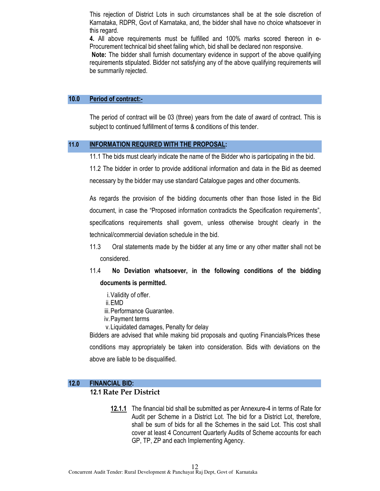This rejection of District Lots in such circumstances shall be at the sole discretion of Karnataka, RDPR, Govt of Karnataka, and, the bidder shall have no choice whatsoever in this regard.

4. All above requirements must be fulfilled and 100% marks scored thereon in e-Procurement technical bid sheet failing which, bid shall be declared non responsive.

 Note: The bidder shall furnish documentary evidence in support of the above qualifying requirements stipulated. Bidder not satisfying any of the above qualifying requirements will be summarily rejected.

#### 10.0 Period of contract:-

The period of contract will be 03 (three) years from the date of award of contract. This is subject to continued fulfillment of terms & conditions of this tender.

#### 11.0 INFORMATION REQUIRED WITH THE PROPOSAL:

11.1 The bids must clearly indicate the name of the Bidder who is participating in the bid.

11.2 The bidder in order to provide additional information and data in the Bid as deemed necessary by the bidder may use standard Catalogue pages and other documents.

As regards the provision of the bidding documents other than those listed in the Bid document, in case the "Proposed information contradicts the Specification requirements", specifications requirements shall govern, unless otherwise brought clearly in the technical/commercial deviation schedule in the bid.

- 11.3 Oral statements made by the bidder at any time or any other matter shall not be considered.
- 11.4 No Deviation whatsoever, in the following conditions of the bidding documents is permitted.
	- i.Validity of offer.
	- ii.EMD
	- iii.Performance Guarantee.
	- iv.Payment terms
	- v.Liquidated damages, Penalty for delay

Bidders are advised that while making bid proposals and quoting Financials/Prices these conditions may appropriately be taken into consideration. Bids with deviations on the above are liable to be disqualified.

#### 12.0 FINANCIAL BID:

#### 12.1 Rate Per District

12.1.1 The financial bid shall be submitted as per Annexure-4 in terms of Rate for Audit per Scheme in a District Lot. The bid for a District Lot, therefore, shall be sum of bids for all the Schemes in the said Lot. This cost shall cover at least 4 Concurrent Quarterly Audits of Scheme accounts for each GP, TP, ZP and each Implementing Agency.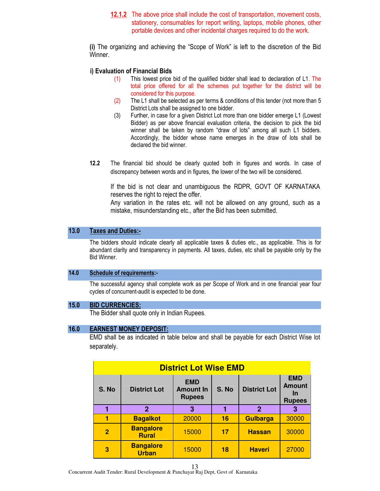12.1.2 The above price shall include the cost of transportation, movement costs, stationery, consumables for report writing, laptops, mobile phones, other portable devices and other incidental charges required to do the work.

(i) The organizing and achieving the "Scope of Work" is left to the discretion of the Bid Winner.

#### i) Evaluation of Financial Bids

- (1) This lowest price bid of the qualified bidder shall lead to declaration of L1. The total price offered for all the schemes put together for the district will be considered for this purpose.
- (2) The L1 shall be selected as per terms & conditions of this tender (not more than 5 District Lots shall be assigned to one bidder.
- (3) Further, in case for a given District Lot more than one bidder emerge L1 (Lowest Bidder) as per above financial evaluation criteria, the decision to pick the bid winner shall be taken by random "draw of lots" among all such L1 bidders. Accordingly, the bidder whose name emerges in the draw of lots shall be declared the bid winner.
- 12.2 The financial bid should be clearly quoted both in figures and words. In case of discrepancy between words and in figures, the lower of the two will be considered.

If the bid is not clear and unambiguous the RDPR, GOVT OF KARNATAKA reserves the right to reject the offer.

Any variation in the rates etc. will not be allowed on any ground, such as a mistake, misunderstanding etc., after the Bid has been submitted.

#### 13.0 Taxes and Duties:-

The bidders should indicate clearly all applicable taxes & duties etc., as applicable. This is for abundant clarity and transparency in payments. All taxes, duties, etc shall be payable only by the Bid Winner.

#### 14.0 Schedule of requirements:-

The successful agency shall complete work as per Scope of Work and in one financial year four cycles of concurrent-audit is expected to be done.

#### 15.0 BID CURRENCIES:

The Bidder shall quote only in Indian Rupees.

#### 16.0 EARNEST MONEY DEPOSIT:

EMD shall be as indicated in table below and shall be payable for each District Wise lot separately.

|                | <b>District Lot Wise EMD</b>     |                                                 |       |                     |                                                           |  |
|----------------|----------------------------------|-------------------------------------------------|-------|---------------------|-----------------------------------------------------------|--|
| S. No          | <b>District Lot</b>              | <b>EMD</b><br><b>Amount In</b><br><b>Rupees</b> | S. No | <b>District Lot</b> | <b>EMD</b><br><b>Amount</b><br><u>In</u><br><b>Rupees</b> |  |
|                | $\mathbf{2}$                     | 3                                               |       | $\mathbf{2}$        | З                                                         |  |
|                | <b>Bagalkot</b>                  | 20000                                           | 16    | <b>Gulbarga</b>     | 30000                                                     |  |
| $\overline{2}$ | <b>Bangalore</b><br><b>Rural</b> | 15000                                           | 17    | <b>Hassan</b>       | 30000                                                     |  |
| 3              | <b>Bangalore</b><br><b>Urban</b> | 15000                                           | 18    | <b>Haveri</b>       | 27000                                                     |  |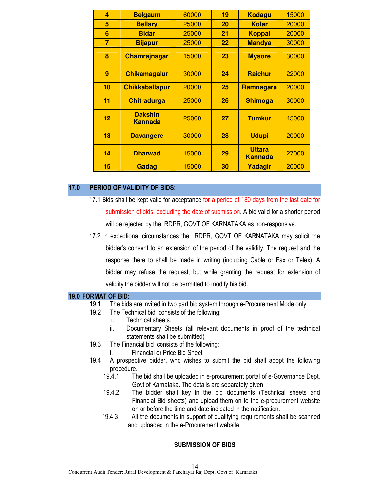| 4              | <b>Belgaum</b>                   | 60000 | 19 | <b>Kodagu</b>                   | 15000 |
|----------------|----------------------------------|-------|----|---------------------------------|-------|
| 5              | <b>Bellary</b>                   | 25000 | 20 | <b>Kolar</b>                    | 20000 |
| 6              | <b>Bidar</b>                     | 25000 | 21 | <b>Koppal</b>                   | 20000 |
| $\overline{7}$ | <b>Bijapur</b>                   | 25000 | 22 | <b>Mandya</b>                   | 30000 |
| 8              | <b>Chamrajnagar</b>              | 15000 | 23 | <b>Mysore</b>                   | 30000 |
| 9              | <b>Chikamagalur</b>              | 30000 | 24 | <b>Raichur</b>                  | 22000 |
| 10             | <b>Chikkaballapur</b>            | 20000 | 25 | Ramnagara                       | 20000 |
| 11             | <b>Chitradurga</b>               | 25000 | 26 | <b>Shimoga</b>                  | 30000 |
| 12             | <b>Dakshin</b><br><b>Kannada</b> | 25000 | 27 | <b>Tumkur</b>                   | 45000 |
| 13             | <b>Davangere</b>                 | 30000 | 28 | <b>Udupi</b>                    | 20000 |
| 14             | <b>Dharwad</b>                   | 15000 | 29 | <b>Uttara</b><br><b>Kannada</b> | 27000 |
| 15             | Gadag                            | 15000 | 30 | Yadagir                         | 20000 |

#### 17.0 PERIOD OF VALIDITY OF BIDS:

- 17.1 Bids shall be kept valid for acceptance for a period of 180 days from the last date for submission of bids, excluding the date of submission. A bid valid for a shorter period will be rejected by the RDPR, GOVT OF KARNATAKA as non-responsive.
- 17.2 In exceptional circumstances the RDPR, GOVT OF KARNATAKA may solicit the bidder's consent to an extension of the period of the validity. The request and the response there to shall be made in writing (including Cable or Fax or Telex). A bidder may refuse the request, but while granting the request for extension of validity the bidder will not be permitted to modify his bid.

#### 19.0 FORMAT OF BID:

- 19.1 The bids are invited in two part bid system through e-Procurement Mode only.
- 19.2 The Technical bid consists of the following:
	- i. Technical sheets.
	- ii. Documentary Sheets (all relevant documents in proof of the technical statements shall be submitted)
- 19.3 The Financial bid consists of the following:
	- i. Financial or Price Bid Sheet
- 19.4 A prospective bidder, who wishes to submit the bid shall adopt the following procedure.
	- 19.4.1 The bid shall be uploaded in e-procurement portal of e-Governance Dept, Govt of Karnataka. The details are separately given.
	- 19.4.2 The bidder shall key in the bid documents (Technical sheets and Financial Bid sheets) and upload them on to the e-procurement website on or before the time and date indicated in the notification.
	- 19.4.3 All the documents in support of qualifying requirements shall be scanned and uploaded in the e-Procurement website.

#### SUBMISSION OF BIDS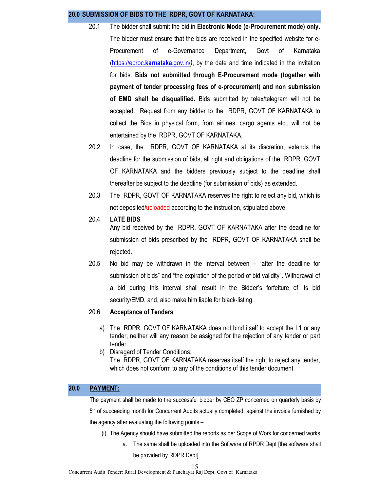#### 20.0 SUBMISSION OF BIDS TO THE RDPR, GOVT OF KARNATAKA:

- 20.1 The bidder shall submit the bid in Electronic Mode (e-Procurement mode) only. The bidder must ensure that the bids are received in the specified website for e-Procurement of e-Governance Department, Govt of Karnataka (https://eproc.karnataka.gov.in/), by the date and time indicated in the invitation for bids. Bids not submitted through E-Procurement mode (together with payment of tender processing fees of e-procurement) and non submission of EMD shall be disqualified. Bids submitted by telex/telegram will not be accepted. Request from any bidder to the RDPR, GOVT OF KARNATAKA to collect the Bids in physical form, from airlines, cargo agents etc., will not be entertained by the RDPR, GOVT OF KARNATAKA.
- 20.2 In case, the RDPR, GOVT OF KARNATAKA at its discretion, extends the deadline for the submission of bids, all right and obligations of the RDPR, GOVT OF KARNATAKA and the bidders previously subject to the deadline shall thereafter be subject to the deadline (for submission of bids) as extended.
- 20.3 The RDPR, GOVT OF KARNATAKA reserves the right to reject any bid, which is not deposited/uploaded according to the instruction, stipulated above.
- 20.4 LATE BIDS

 Any bid received by the RDPR, GOVT OF KARNATAKA after the deadline for submission of bids prescribed by the RDPR, GOVT OF KARNATAKA shall be rejected.

20.5 No bid may be withdrawn in the interval between – "after the deadline for submission of bids" and "the expiration of the period of bid validity". Withdrawal of a bid during this interval shall result in the Bidder's forfeiture of its bid security/EMD, and, also make him liable for black-listing.

#### 20.6 Acceptance of Tenders

- a) The RDPR, GOVT OF KARNATAKA does not bind itself to accept the L1 or any tender; neither will any reason be assigned for the rejection of any tender or part tender.
- b) Disregard of Tender Conditions: The RDPR, GOVT OF KARNATAKA reserves itself the right to reject any tender, which does not conform to any of the conditions of this tender document.

#### 20.0 PAYMENT:

The payment shall be made to the successful bidder by CEO ZP concerned on quarterly basis by 5<sup>th</sup> of succeeding month for Concurrent Audits actually completed, against the invoice furnished by the agency after evaluating the following points –

- (i) The Agency should have submitted the reports as per Scope of Work for concerned works
	- a. The same shall be uploaded into the Software of RPDR Dept [the software shall be provided by RDPR Dept].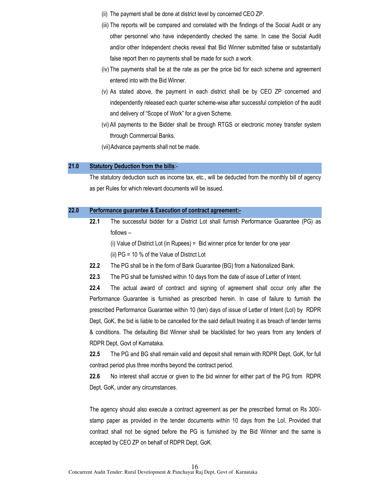- (ii) The payment shall be done at district level by concerned CEO ZP.
- (iii) The reports will be compared and correlated with the findings of the Social Audit or any other personnel who have independently checked the same. In case the Social Audit and/or other Independent checks reveal that Bid Winner submitted false or substantially false report then no payments shall be made for such a work.
- (iv) The payments shall be at the rate as per the price bid for each scheme and agreement entered into with the Bid Winner.
- (v) As stated above, the payment in each district shall be by CEO ZP concerned and independently released each quarter scheme-wise after successful completion of the audit and delivery of "Scope of Work" for a given Scheme.
- (vi) All payments to the Bidder shall be through RTGS or electronic money transfer system through Commercial Banks.
- (vii)Advance payments shall not be made.

#### 21.0 Statutory Deduction from the bills:-

The statutory deduction such as income tax, etc., will be deducted from the monthly bill of agency as per Rules for which relevant documents will be issued.

#### 22.0 Performance guarantee & Execution of contract agreement:-

22.1 The successful bidder for a District Lot shall furnish Performance Guarantee (PG) as follows –

(i) Value of District Lot (in Rupees) = Bid winner price for tender for one year

(ii) PG = 10 % of the Value of District Lot

- 22.2 The PG shall be in the form of Bank Guarantee (BG) from a Nationalized Bank.
- 22.3 The PG shall be furnished within 10 days from the date of issue of Letter of Intent.

22.4 The actual award of contract and signing of agreement shall occur only after the Performance Guarantee is furnished as prescribed herein. In case of failure to furnish the prescribed Performance Guarantee within 10 (ten) days of issue of Letter of Intent (LoI) by RDPR Dept, GoK, the bid is liable to be cancelled for the said default treating it as breach of tender terms & conditions. The defaulting Bid Winner shall be blacklisted for two years from any tenders of RDPR Dept, Govt of Karnataka.

22.5 The PG and BG shall remain valid and deposit shall remain with RDPR Dept, GoK, for full contract period plus three months beyond the contract period.

22.6 No interest shall accrue or given to the bid winner for either part of the PG from RDPR Dept, GoK, under any circumstances.

The agency should also execute a contract agreement as per the prescribed format on Rs 300/ stamp paper as provided in the tender documents within 10 days from the LoI. Provided that contract shall not be signed before the PG is furnished by the Bid Winner and the same is accepted by CEO ZP on behalf of RDPR Dept, GoK.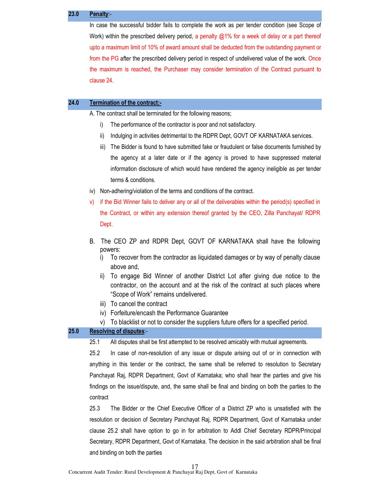#### 23.0 Penalty:-

In case the successful bidder fails to complete the work as per tender condition (see Scope of Work) within the prescribed delivery period, a penalty @1% for a week of delay or a part thereof upto a maximum limit of 10% of award amount shall be deducted from the outstanding payment or from the PG after the prescribed delivery period in respect of undelivered value of the work. Once the maximum is reached, the Purchaser may consider termination of the Contract pursuant to clause 24.

#### 24.0 Termination of the contract:-

A. The contract shall be terminated for the following reasons;

- i) The performance of the contractor is poor and not satisfactory.
- ii) Indulging in activities detrimental to the RDPR Dept, GOVT OF KARNATAKA services.
- iii) The Bidder is found to have submitted fake or fraudulent or false documents furnished by the agency at a later date or if the agency is proved to have suppressed material information disclosure of which would have rendered the agency ineligible as per tender terms & conditions.
- iv) Non-adhering/violation of the terms and conditions of the contract.
- v) if the Bid Winner fails to deliver any or all of the deliverables within the period(s) specified in the Contract, or within any extension thereof granted by the CEO, Zilla Panchayat/ RDPR Dept.
- B. The CEO ZP and RDPR Dept, GOVT OF KARNATAKA shall have the following powers:
	- i) To recover from the contractor as liquidated damages or by way of penalty clause above and,
	- ii) To engage Bid Winner of another District Lot after giving due notice to the contractor, on the account and at the risk of the contract at such places where "Scope of Work" remains undelivered.
	- iii) To cancel the contract
	- iv) Forfeiture/encash the Performance Guarantee
	- v) To blacklist or not to consider the suppliers future offers for a specified period.

#### 25.0 Resolving of disputes:-

25.1 All disputes shall be first attempted to be resolved amicably with mutual agreements.

25.2 In case of non-resolution of any issue or dispute arising out of or in connection with anything in this tender or the contract, the same shall be referred to resolution to Secretary Panchayat Raj, RDPR Department, Govt of Karnataka; who shall hear the parties and give his findings on the issue/dispute, and, the same shall be final and binding on both the parties to the contract

25.3 The Bidder or the Chief Executive Officer of a District ZP who is unsatisfied with the resolution or decision of Secretary Panchayat Raj, RDPR Department, Govt of Karnataka under clause 25.2 shall have option to go in for arbitration to Addl Chief Secretary RDPR/Principal Secretary, RDPR Department, Govt of Karnataka. The decision in the said arbitration shall be final and binding on both the parties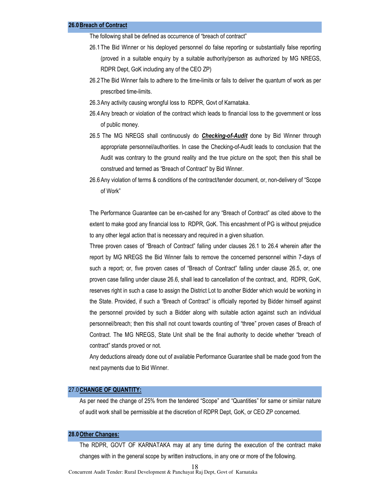The following shall be defined as occurrence of "breach of contract"

- 26.1The Bid Winner or his deployed personnel do false reporting or substantially false reporting (proved in a suitable enquiry by a suitable authority/person as authorized by MG NREGS, RDPR Dept, GoK including any of the CEO ZP)
- 26.2The Bid Winner fails to adhere to the time-limits or fails to deliver the quantum of work as per prescribed time-limits.
- 26.3Any activity causing wrongful loss to RDPR, Govt of Karnataka.
- 26.4Any breach or violation of the contract which leads to financial loss to the government or loss of public money.
- 26.5 The MG NREGS shall continuously do **Checking-of-Audit** done by Bid Winner through appropriate personnel/authorities. In case the Checking-of-Audit leads to conclusion that the Audit was contrary to the ground reality and the true picture on the spot; then this shall be construed and termed as "Breach of Contract" by Bid Winner.
- 26.6Any violation of terms & conditions of the contract/tender document, or, non-delivery of "Scope of Work"

The Performance Guarantee can be en-cashed for any "Breach of Contract" as cited above to the extent to make good any financial loss to RDPR, GoK. This encashment of PG is without prejudice to any other legal action that is necessary and required in a given situation.

Three proven cases of "Breach of Contract" falling under clauses 26.1 to 26.4 wherein after the report by MG NREGS the Bid Winner fails to remove the concerned personnel within 7-days of such a report; or, five proven cases of "Breach of Contract" falling under clause 26.5, or, one proven case falling under clause 26.6, shall lead to cancellation of the contract, and, RDPR, GoK, reserves right in such a case to assign the District Lot to another Bidder which would be working in the State. Provided, if such a "Breach of Contract" is officially reported by Bidder himself against the personnel provided by such a Bidder along with suitable action against such an individual personnel/breach; then this shall not count towards counting of "three" proven cases of Breach of Contract. The MG NREGS, State Unit shall be the final authority to decide whether "breach of contract" stands proved or not.

Any deductions already done out of available Performance Guarantee shall be made good from the next payments due to Bid Winner.

#### 27.0CHANGE OF QUANTITY:

As per need the change of 25% from the tendered "Scope" and "Quantities" for same or similar nature of audit work shall be permissible at the discretion of RDPR Dept, GoK, or CEO ZP concerned.

#### 28.0 Other Changes:

The RDPR, GOVT OF KARNATAKA may at any time during the execution of the contract make changes with in the general scope by written instructions, in any one or more of the following.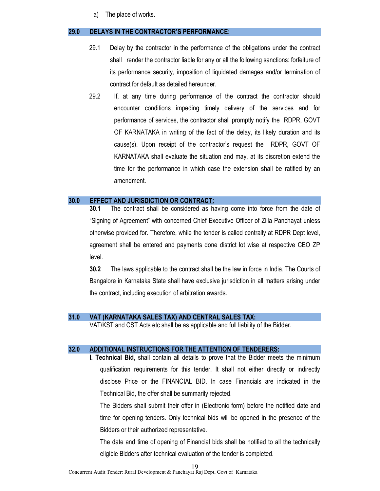a) The place of works.

#### 29.0 DELAYS IN THE CONTRACTOR'S PERFORMANCE:

- 29.1 Delay by the contractor in the performance of the obligations under the contract shall render the contractor liable for any or all the following sanctions: forfeiture of its performance security, imposition of liquidated damages and/or termination of contract for default as detailed hereunder.
- 29.2 If, at any time during performance of the contract the contractor should encounter conditions impeding timely delivery of the services and for performance of services, the contractor shall promptly notify the RDPR, GOVT OF KARNATAKA in writing of the fact of the delay, its likely duration and its cause(s). Upon receipt of the contractor's request the RDPR, GOVT OF KARNATAKA shall evaluate the situation and may, at its discretion extend the time for the performance in which case the extension shall be ratified by an amendment.

#### 30.0 EFFECT AND JURISDICTION OR CONTRACT:

30.1 The contract shall be considered as having come into force from the date of "Signing of Agreement" with concerned Chief Executive Officer of Zilla Panchayat unless otherwise provided for. Therefore, while the tender is called centrally at RDPR Dept level, agreement shall be entered and payments done district lot wise at respective CEO ZP level.

30.2 The laws applicable to the contract shall be the law in force in India. The Courts of Bangalore in Karnataka State shall have exclusive jurisdiction in all matters arising under the contract, including execution of arbitration awards.

## 31.0 VAT (KARNATAKA SALES TAX) AND CENTRAL SALES TAX:

VAT/KST and CST Acts etc shall be as applicable and full liability of the Bidder.

#### 32.0 ADDITIONAL INSTRUCTIONS FOR THE ATTENTION OF TENDERERS:

I. Technical Bid, shall contain all details to prove that the Bidder meets the minimum qualification requirements for this tender. It shall not either directly or indirectly disclose Price or the FINANCIAL BID. In case Financials are indicated in the Technical Bid, the offer shall be summarily rejected.

The Bidders shall submit their offer in (Electronic form) before the notified date and time for opening tenders. Only technical bids will be opened in the presence of the Bidders or their authorized representative.

The date and time of opening of Financial bids shall be notified to all the technically eligible Bidders after technical evaluation of the tender is completed.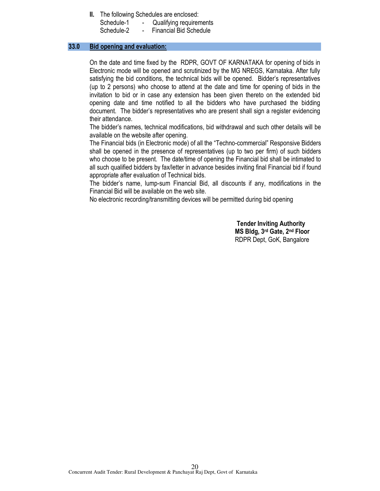II. The following Schedules are enclosed:

| Schedule-1 | Qualifying requirements       |
|------------|-------------------------------|
| Schedule-2 | <b>Financial Bid Schedule</b> |

#### 33.0 Bid opening and evaluation:

On the date and time fixed by the RDPR, GOVT OF KARNATAKA for opening of bids in Electronic mode will be opened and scrutinized by the MG NREGS, Karnataka. After fully satisfying the bid conditions, the technical bids will be opened. Bidder's representatives (up to 2 persons) who choose to attend at the date and time for opening of bids in the invitation to bid or in case any extension has been given thereto on the extended bid opening date and time notified to all the bidders who have purchased the bidding document. The bidder's representatives who are present shall sign a register evidencing their attendance.

The bidder's names, technical modifications, bid withdrawal and such other details will be available on the website after opening.

The Financial bids (in Electronic mode) of all the "Techno-commercial" Responsive Bidders shall be opened in the presence of representatives (up to two per firm) of such bidders who choose to be present. The date/time of opening the Financial bid shall be intimated to all such qualified bidders by fax/letter in advance besides inviting final Financial bid if found appropriate after evaluation of Technical bids.

The bidder's name, lump-sum Financial Bid, all discounts if any, modifications in the Financial Bid will be available on the web site.

No electronic recording/transmitting devices will be permitted during bid opening

Tender Inviting Authority MS Bldg, 3rd Gate, 2nd Floor RDPR Dept, GoK, Bangalore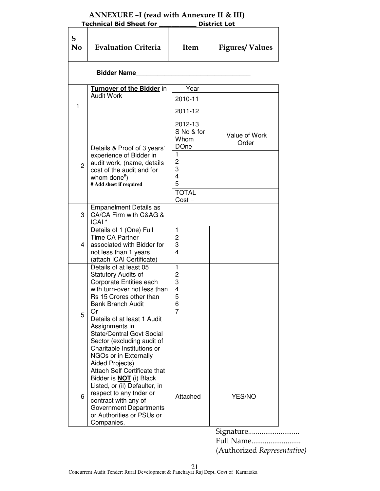| <b>Technical Bid Sheet for</b> |                                                                                                                                                                                                                                                                                                                                                                    |                                              | <b>District Lot</b>    |
|--------------------------------|--------------------------------------------------------------------------------------------------------------------------------------------------------------------------------------------------------------------------------------------------------------------------------------------------------------------------------------------------------------------|----------------------------------------------|------------------------|
| S<br>$\mathbf{N}\mathbf{0}$    | <b>Evaluation Criteria</b>                                                                                                                                                                                                                                                                                                                                         | <b>Item</b>                                  | <b>Figures/Values</b>  |
|                                | <b>Bidder Name</b>                                                                                                                                                                                                                                                                                                                                                 |                                              |                        |
|                                | Turnover of the Bidder in<br><b>Audit Work</b>                                                                                                                                                                                                                                                                                                                     | Year<br>2010-11                              |                        |
| 1                              |                                                                                                                                                                                                                                                                                                                                                                    | 2011-12                                      |                        |
|                                | Details & Proof of 3 years'                                                                                                                                                                                                                                                                                                                                        | 2012-13<br>S No & for<br>Whom<br><b>DOne</b> | Value of Work<br>Order |
| $\overline{c}$                 | experience of Bidder in<br>audit work, (name, details<br>cost of the audit and for<br>whom done $*$ )<br># Add sheet if required                                                                                                                                                                                                                                   | 1<br>2<br>3<br>4<br>5                        |                        |
|                                |                                                                                                                                                                                                                                                                                                                                                                    | <b>TOTAL</b><br>$Cost =$                     |                        |
| 3                              | <b>Empanelment Details as</b><br>CA/CA Firm with C&AG &<br>ICAI <sup>*</sup>                                                                                                                                                                                                                                                                                       |                                              |                        |
| 4                              | Details of 1 (One) Full<br><b>Time CA Partner</b><br>associated with Bidder for<br>not less than 1 years<br>(attach ICAI Certificate)                                                                                                                                                                                                                              | 1<br>$\overline{c}$<br>3<br>4                |                        |
| 5                              | Details of at least 05<br>Statutory Audits of<br>Corporate Entities each<br>with turn-over not less than<br>Rs 15 Crores other than<br><b>Bank Branch Audit</b><br>Or<br>Details of at least 1 Audit<br>Assignments in<br><b>State/Central Govt Social</b><br>Sector (excluding audit of<br>Charitable Institutions or<br>NGOs or in Externally<br>Aided Projects) | 1<br>2<br>3<br>4<br>5<br>6<br>$\overline{7}$ |                        |
| 6                              | <b>Attach Self Certificate that</b><br>Bidder is <b>NOT</b> (i) Black<br>Listed, or (ii) Defaulter, in<br>respect to any tnder or<br>contract with any of<br><b>Government Departments</b><br>or Authorities or PSUs or<br>Companies.                                                                                                                              | Attached                                     | YES/NO                 |

# ANNEXURE –I (read with Annexure II & III)

Signature...........................

| Full Name                   |  |
|-----------------------------|--|
| (Authorized Representative) |  |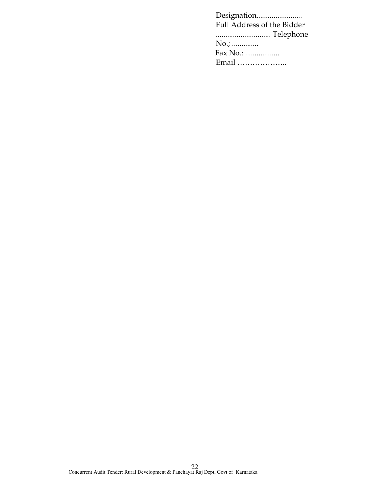Designation........................ Full Address of the Bidder ............................. Telephone No.; .............. Fax No.: .................. Email ………………..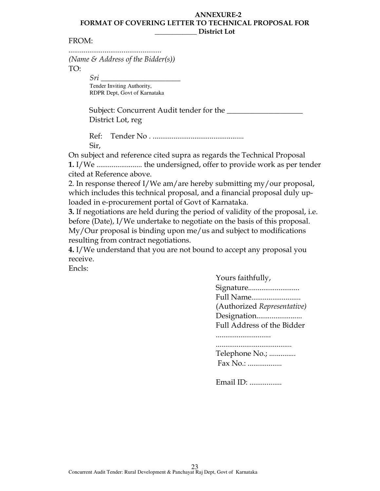## ANNEXURE-2 FORMAT OF COVERING LETTER TO TECHNICAL PROPOSAL FOR District Lot

# FROM:

................................................. (Name  $\mathcal{E}$  Address of the Bidder(s)) TO:

Sri \_\_\_\_\_\_\_\_\_\_\_\_\_\_\_\_\_\_\_\_\_ Tender Inviting Authority, RDPR Dept, Govt of Karnataka

Subject: Concurrent Audit tender for the \_\_\_\_\_\_\_\_\_\_\_\_\_\_\_\_\_\_\_\_ District Lot, reg

Ref: Tender No . ................................................ Sir,

On subject and reference cited supra as regards the Technical Proposal 1. I/We ........................ the undersigned, offer to provide work as per tender cited at Reference above.

2. In response thereof I/We am/are hereby submitting my/our proposal, which includes this technical proposal, and a financial proposal duly uploaded in e-procurement portal of Govt of Karnataka.

3. If negotiations are held during the period of validity of the proposal, i.e. before (Date), I/We undertake to negotiate on the basis of this proposal. My/Our proposal is binding upon me/us and subject to modifications resulting from contract negotiations.

4. I/We understand that you are not bound to accept any proposal you receive.

Encls:

Yours faithfully, Signature........................... Full Name.......................... (Authorized Representative) Designation........................ Full Address of the Bidder ............................. ........................................ Telephone No.; .............. Fax No.: ..................

Email ID: .................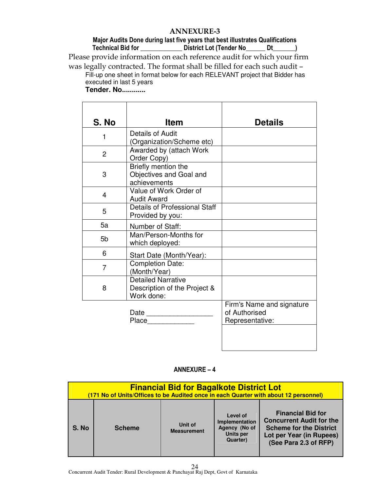# ANNEXURE-3

# Major Audits Done during last five years that best illustrates Qualifications Technical Bid for \_\_\_\_\_\_\_\_\_\_\_\_\_\_\_\_\_\_\_ District Lot (Tender No\_\_\_\_\_\_\_ Dt\_\_\_\_\_\_\_)

Please provide information on each reference audit for which your firm was legally contracted. The format shall be filled for each such audit – Fill-up one sheet in format below for each RELEVANT project that Bidder has

executed in last 5 years

**Tender. No............** 

| S. No          | <b>Item</b>                                                             | <b>Details</b>                                                |
|----------------|-------------------------------------------------------------------------|---------------------------------------------------------------|
| 1              | Details of Audit<br>(Organization/Scheme etc)                           |                                                               |
| $\overline{2}$ | Awarded by (attach Work<br>Order Copy)                                  |                                                               |
| 3              | Briefly mention the<br>Objectives and Goal and<br>achievements          |                                                               |
| 4              | Value of Work Order of<br><b>Audit Award</b>                            |                                                               |
| 5              | Details of Professional Staff<br>Provided by you:                       |                                                               |
| 5a             | Number of Staff:                                                        |                                                               |
| 5 <sub>b</sub> | Man/Person-Months for<br>which deployed:                                |                                                               |
| 6              | Start Date (Month/Year):                                                |                                                               |
| $\overline{7}$ | <b>Completion Date:</b><br>(Month/Year)                                 |                                                               |
| 8              | <b>Detailed Narrative</b><br>Description of the Project &<br>Work done: |                                                               |
|                | Date $\qquad \qquad$<br>Place                                           | Firm's Name and signature<br>of Authorised<br>Representative: |

|       | <b>Financial Bid for Bagalkote District Lot</b><br>(171 No of Units/Offices to be Audited once in each Quarter with about 12 personnel) |                               |                                                                             |                                                                                                                                                    |  |
|-------|-----------------------------------------------------------------------------------------------------------------------------------------|-------------------------------|-----------------------------------------------------------------------------|----------------------------------------------------------------------------------------------------------------------------------------------------|--|
| S. No | <b>Scheme</b>                                                                                                                           | Unit of<br><b>Measurement</b> | Level of<br>Implementation<br>Agency (No of<br><b>Units per</b><br>Quarter) | <b>Financial Bid for</b><br><b>Concurrent Audit for the</b><br><b>Scheme for the District</b><br>Lot per Year (in Rupees)<br>(See Para 2.3 of RFP) |  |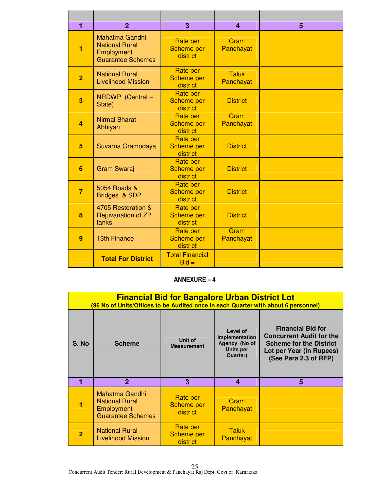| $\blacksquare$ | $\overline{2}$                                                                    | 3                                                | $\boldsymbol{4}$          | 5 |
|----------------|-----------------------------------------------------------------------------------|--------------------------------------------------|---------------------------|---|
| 1              | Mahatma Gandhi<br><b>National Rural</b><br>Employment<br><b>Guarantee Schemes</b> | <b>Rate per</b><br><b>Scheme per</b><br>district | Gram<br>Panchayat         |   |
| $\overline{2}$ | <b>National Rural</b><br><b>Livelihood Mission</b>                                | <b>Rate per</b><br><b>Scheme per</b><br>district | <b>Taluk</b><br>Panchayat |   |
| 3              | NRDWP (Central +<br>State)                                                        | Rate per<br><b>Scheme per</b><br>district        | <b>District</b>           |   |
| $\overline{a}$ | <b>Nirmal Bharat</b><br>Abhiyan                                                   | <b>Rate per</b><br><b>Scheme per</b><br>district | Gram<br>Panchayat         |   |
| 5              | Suvarna Gramodaya                                                                 | Rate per<br><b>Scheme per</b><br>district        | <b>District</b>           |   |
| 6              | <b>Gram Swaraj</b>                                                                | <b>Rate per</b><br><b>Scheme per</b><br>district | <b>District</b>           |   |
| $\overline{7}$ | 5054 Roads &<br>Bridges & SDP                                                     | <b>Rate per</b><br><b>Scheme per</b><br>district | <b>District</b>           |   |
| 8              | 4705 Restoration &<br>Rejuvanation of ZP<br>tanks                                 | Rate per<br><b>Scheme per</b><br>district        | <b>District</b>           |   |
| 9              | <b>13th Finance</b>                                                               | Rate per<br><b>Scheme per</b><br>district        | Gram<br>Panchayat         |   |
|                | <b>Total For District</b>                                                         | <b>Total Financial</b><br>$Bid =$                |                           |   |

|                | <b>Financial Bid for Bangalore Urban District Lot</b><br>(96 No of Units/Offices to be Audited once in each Quarter with about 6 personnel) |                                           |                                                                             |                                                                                                                                                    |  |
|----------------|---------------------------------------------------------------------------------------------------------------------------------------------|-------------------------------------------|-----------------------------------------------------------------------------|----------------------------------------------------------------------------------------------------------------------------------------------------|--|
| S. No          | <b>Scheme</b>                                                                                                                               | Unit of<br><b>Measurement</b>             | Level of<br>Implementation<br>Agency (No of<br><b>Units per</b><br>Quarter) | <b>Financial Bid for</b><br><b>Concurrent Audit for the</b><br><b>Scheme for the District</b><br>Lot per Year (in Rupees)<br>(See Para 2.3 of RFP) |  |
|                | $\mathbf{2}$                                                                                                                                | 3                                         | $\overline{\mathbf{4}}$                                                     | 5                                                                                                                                                  |  |
|                | Mahatma Gandhi<br><b>National Rural</b><br>Employment<br><b>Guarantee Schemes</b>                                                           | Rate per<br><b>Scheme per</b><br>district | Gram<br>Panchayat                                                           |                                                                                                                                                    |  |
| $\overline{2}$ | <b>National Rural</b><br>Livelihood Mission                                                                                                 | Rate per<br><b>Scheme per</b><br>district | Taluk<br>Panchayat                                                          |                                                                                                                                                    |  |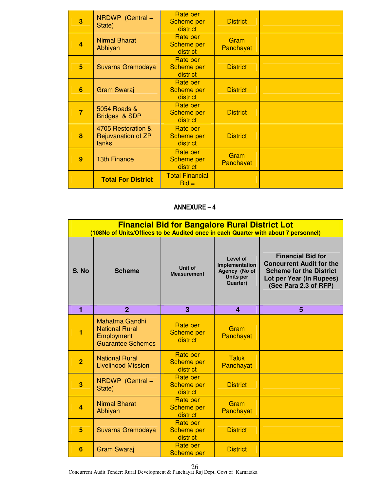| 3              | NRDWP (Central +<br>State)                        | Rate per<br><b>Scheme per</b><br>district        | <b>District</b>   |  |
|----------------|---------------------------------------------------|--------------------------------------------------|-------------------|--|
| $\overline{4}$ | <b>Nirmal Bharat</b><br>Abhiyan                   | Rate per<br>Scheme per<br>district               | Gram<br>Panchayat |  |
| 5              | Suvarna Gramodaya                                 | Rate per<br><b>Scheme per</b><br>district        | <b>District</b>   |  |
| 6              | <b>Gram Swaraj</b>                                | Rate per<br><b>Scheme per</b><br>district        | <b>District</b>   |  |
| $\overline{7}$ | 5054 Roads &<br>Bridges & SDP                     | Rate per<br><b>Scheme per</b><br>district        | <b>District</b>   |  |
| 8              | 4705 Restoration &<br>Rejuvanation of ZP<br>tanks | Rate per<br><b>Scheme per</b><br>district        | <b>District</b>   |  |
| 9              | <b>13th Finance</b>                               | <b>Rate per</b><br><b>Scheme per</b><br>district | Gram<br>Panchayat |  |
|                | <b>Total For District</b>                         | <b>Total Financial</b><br>$Bid =$                |                   |  |

|                | <b>Financial Bid for Bangalore Rural District Lot</b><br>(108No of Units/Offices to be Audited once in each Quarter with about 7 personnel) |                                                  |                                                                             |                                                                                                                                                    |  |
|----------------|---------------------------------------------------------------------------------------------------------------------------------------------|--------------------------------------------------|-----------------------------------------------------------------------------|----------------------------------------------------------------------------------------------------------------------------------------------------|--|
| S. No          | <b>Scheme</b>                                                                                                                               | Unit of<br><b>Measurement</b>                    | Level of<br>Implementation<br>Agency (No of<br><b>Units per</b><br>Quarter) | <b>Financial Bid for</b><br><b>Concurrent Audit for the</b><br><b>Scheme for the District</b><br>Lot per Year (in Rupees)<br>(See Para 2.3 of RFP) |  |
| 1              | $\overline{2}$                                                                                                                              | 3                                                | 4                                                                           | 5                                                                                                                                                  |  |
| 1              | <b>Mahatma Gandhi</b><br><b>National Rural</b><br>Employment<br><b>Guarantee Schemes</b>                                                    | Rate per<br><b>Scheme per</b><br>district        | Gram<br>Panchayat                                                           |                                                                                                                                                    |  |
| $\overline{2}$ | <b>National Rural</b><br><b>Livelihood Mission</b>                                                                                          | Rate per<br><b>Scheme per</b><br>district        | <b>Taluk</b><br>Panchayat                                                   |                                                                                                                                                    |  |
| 3              | NRDWP (Central +<br>State)                                                                                                                  | Rate per<br><b>Scheme per</b><br>district        | <b>District</b>                                                             |                                                                                                                                                    |  |
| 4              | <b>Nirmal Bharat</b><br>Abhiyan                                                                                                             | Rate per<br><b>Scheme per</b><br>district        | Gram<br>Panchayat                                                           |                                                                                                                                                    |  |
| 5              | Suvarna Gramodaya                                                                                                                           | <b>Rate per</b><br><b>Scheme per</b><br>district | <b>District</b>                                                             |                                                                                                                                                    |  |
| 6              | <b>Gram Swaraj</b>                                                                                                                          | Rate per<br><b>Scheme per</b>                    | <b>District</b>                                                             |                                                                                                                                                    |  |

Concurrent Audit Tender: Rural Development & Panchayat Raj Dept, Govt of Karnataka 26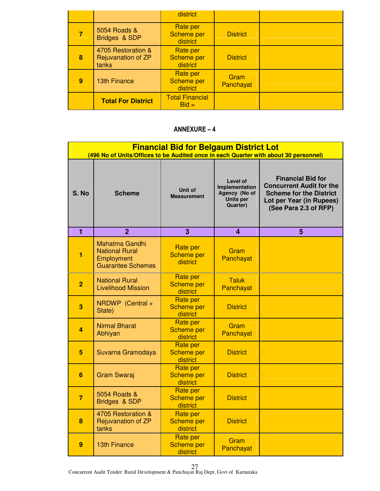|   |                                                   | district                                  |                   |  |
|---|---------------------------------------------------|-------------------------------------------|-------------------|--|
|   | 5054 Roads &<br>Bridges & SDP                     | Rate per<br><b>Scheme per</b><br>district | <b>District</b>   |  |
| 8 | 4705 Restoration &<br>Rejuvanation of ZP<br>tanks | Rate per<br><b>Scheme per</b><br>district | <b>District</b>   |  |
| 9 | <b>13th Finance</b>                               | Rate per<br><b>Scheme per</b><br>district | Gram<br>Panchayat |  |
|   | <b>Total For District</b>                         | <b>Total Financial</b><br>$Bid =$         |                   |  |

|                | <b>Financial Bid for Belgaum District Lot</b><br>(496 No of Units/Offices to be Audited once in each Quarter with about 30 personnel) |                                                  |                                                                      |                                                                                                                                                    |  |
|----------------|---------------------------------------------------------------------------------------------------------------------------------------|--------------------------------------------------|----------------------------------------------------------------------|----------------------------------------------------------------------------------------------------------------------------------------------------|--|
| S. No          | <b>Scheme</b>                                                                                                                         | Unit of<br><b>Measurement</b>                    | Level of<br>Implementation<br>Agency (No of<br>Units per<br>Quarter) | <b>Financial Bid for</b><br><b>Concurrent Audit for the</b><br><b>Scheme for the District</b><br>Lot per Year (in Rupees)<br>(See Para 2.3 of RFP) |  |
| 1              | $\overline{2}$                                                                                                                        | 3                                                | 4                                                                    | 5                                                                                                                                                  |  |
| 1              | <b>Mahatma Gandhi</b><br><b>National Rural</b><br>Employment<br><b>Guarantee Schemes</b>                                              | <b>Rate per</b><br><b>Scheme per</b><br>district | Gram<br>Panchayat                                                    |                                                                                                                                                    |  |
| $\overline{2}$ | <b>National Rural</b><br><b>Livelihood Mission</b>                                                                                    | <b>Rate per</b><br><b>Scheme per</b><br>district | Taluk<br>Panchayat                                                   |                                                                                                                                                    |  |
| 3              | NRDWP (Central +<br>State)                                                                                                            | Rate per<br><b>Scheme per</b><br>district        | <b>District</b>                                                      |                                                                                                                                                    |  |
| 4              | <b>Nirmal Bharat</b><br>Abhiyan                                                                                                       | Rate per<br><b>Scheme per</b><br>district        | Gram<br>Panchayat                                                    |                                                                                                                                                    |  |
| 5              | Suvarna Gramodaya                                                                                                                     | <b>Rate per</b><br><b>Scheme per</b><br>district | <b>District</b>                                                      |                                                                                                                                                    |  |
| 6              | <b>Gram Swaraj</b>                                                                                                                    | Rate per<br><b>Scheme per</b><br>district        | <b>District</b>                                                      |                                                                                                                                                    |  |
| $\overline{7}$ | 5054 Roads &<br>Bridges & SDP                                                                                                         | <b>Rate per</b><br><b>Scheme per</b><br>district | <b>District</b>                                                      |                                                                                                                                                    |  |
| 8              | 4705 Restoration &<br><b>Rejuvanation of ZP</b><br>tanks                                                                              | <b>Rate per</b><br><b>Scheme per</b><br>district | <b>District</b>                                                      |                                                                                                                                                    |  |
| 9              | <b>13th Finance</b>                                                                                                                   | Rate per<br><b>Scheme per</b><br>district        | Gram<br>Panchayat                                                    |                                                                                                                                                    |  |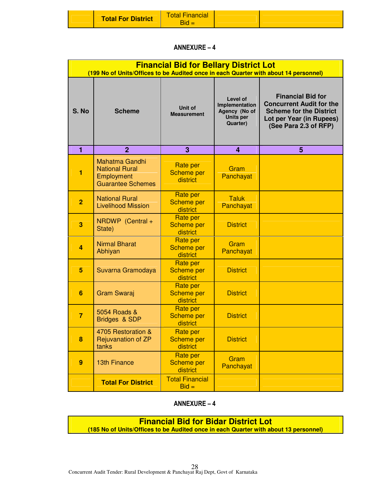| <b>Total For District</b> | <u> Fotal Financial</u><br><b>Bid</b> |  |  |
|---------------------------|---------------------------------------|--|--|
|---------------------------|---------------------------------------|--|--|

|                | <b>Financial Bid for Bellary District Lot</b><br>(199 No of Units/Offices to be Audited once in each Quarter with about 14 personnel) |                                                  |                                                                             |                                                                                                                                                    |
|----------------|---------------------------------------------------------------------------------------------------------------------------------------|--------------------------------------------------|-----------------------------------------------------------------------------|----------------------------------------------------------------------------------------------------------------------------------------------------|
| S. No          | <b>Scheme</b>                                                                                                                         | <b>Unit of</b><br><b>Measurement</b>             | Level of<br>Implementation<br>Agency (No of<br><b>Units per</b><br>Quarter) | <b>Financial Bid for</b><br><b>Concurrent Audit for the</b><br><b>Scheme for the District</b><br>Lot per Year (in Rupees)<br>(See Para 2.3 of RFP) |
| 1              | $\overline{2}$                                                                                                                        | 3                                                | 4                                                                           | 5                                                                                                                                                  |
| 1              | <b>Mahatma Gandhi</b><br><b>National Rural</b><br>Employment<br><b>Guarantee Schemes</b>                                              | Rate per<br><b>Scheme per</b><br>district        | Gram<br>Panchayat                                                           |                                                                                                                                                    |
| $\overline{2}$ | <b>National Rural</b><br><b>Livelihood Mission</b>                                                                                    | Rate per<br><b>Scheme per</b><br>district        | <b>Taluk</b><br>Panchayat                                                   |                                                                                                                                                    |
| 3              | NRDWP (Central +<br>State)                                                                                                            | Rate per<br><b>Scheme per</b><br>district        | <b>District</b>                                                             |                                                                                                                                                    |
| 4              | <b>Nirmal Bharat</b><br>Abhiyan                                                                                                       | <b>Rate per</b><br><b>Scheme per</b><br>district | Gram<br>Panchayat                                                           |                                                                                                                                                    |
| 5              | Suvarna Gramodaya                                                                                                                     | Rate per<br><b>Scheme per</b><br>district        | <b>District</b>                                                             |                                                                                                                                                    |
| 6              | <b>Gram Swaraj</b>                                                                                                                    | Rate per<br>Scheme per<br>district               | <b>District</b>                                                             |                                                                                                                                                    |
| $\overline{7}$ | 5054 Roads &<br>Bridges & SDP                                                                                                         | Rate per<br><b>Scheme per</b><br>district        | <b>District</b>                                                             |                                                                                                                                                    |
| 8              | 4705 Restoration &<br>Rejuvanation of ZP<br>tanks                                                                                     | Rate per<br><b>Scheme per</b><br>district        | <b>District</b>                                                             |                                                                                                                                                    |
| 9              | <b>13th Finance</b>                                                                                                                   | Rate per<br>Scheme per<br>district               | Gram<br>Panchayat                                                           |                                                                                                                                                    |
|                | <b>Total For District</b>                                                                                                             | <b>Total Financial</b><br>$Bid =$                |                                                                             |                                                                                                                                                    |

# ANNEXURE – 4

**Financial Bid for Bidar District Lot (185 No of Units/Offices to be Audited once in each Quarter with about 13 personnel)**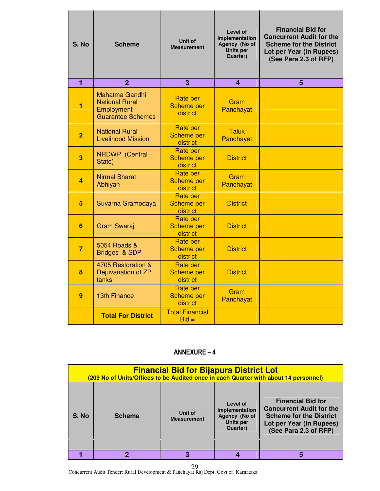| S. No          | <b>Scheme</b>                                                                            | Unit of<br><b>Measurement</b>                    | Level of<br>Implementation<br>Agency (No of<br>Units per<br>Quarter) | <b>Financial Bid for</b><br><b>Concurrent Audit for the</b><br><b>Scheme for the District</b><br>Lot per Year (in Rupees)<br>(See Para 2.3 of RFP) |
|----------------|------------------------------------------------------------------------------------------|--------------------------------------------------|----------------------------------------------------------------------|----------------------------------------------------------------------------------------------------------------------------------------------------|
| $\overline{1}$ | $\overline{2}$                                                                           | 3                                                | $\overline{\mathbf{A}}$                                              | 5                                                                                                                                                  |
| 1              | <b>Mahatma Gandhi</b><br><b>National Rural</b><br>Employment<br><b>Guarantee Schemes</b> | <b>Rate per</b><br><b>Scheme per</b><br>district | Gram<br>Panchayat                                                    |                                                                                                                                                    |
| $\overline{2}$ | <b>National Rural</b><br><b>Livelihood Mission</b>                                       | <b>Rate per</b><br><b>Scheme per</b><br>district | <b>Taluk</b><br>Panchayat                                            |                                                                                                                                                    |
| 3              | NRDWP (Central +<br>State)                                                               | <b>Rate per</b><br><b>Scheme per</b><br>district | <b>District</b>                                                      |                                                                                                                                                    |
| 4              | <b>Nirmal Bharat</b><br>Abhiyan                                                          | <b>Rate per</b><br>Scheme per<br>district        | Gram<br>Panchayat                                                    |                                                                                                                                                    |
| 5              | Suvarna Gramodaya                                                                        | <b>Rate per</b><br><b>Scheme per</b><br>district | <b>District</b>                                                      |                                                                                                                                                    |
| 6              | <b>Gram Swaraj</b>                                                                       | <b>Rate per</b><br><b>Scheme per</b><br>district | <b>District</b>                                                      |                                                                                                                                                    |
| $\overline{7}$ | 5054 Roads &<br>Bridges & SDP                                                            | Rate per<br><b>Scheme per</b><br>district        | <b>District</b>                                                      |                                                                                                                                                    |
| 8              | 4705 Restoration &<br><b>Rejuvanation of ZP</b><br>tanks                                 | Rate per<br><b>Scheme per</b><br>district        | <b>District</b>                                                      |                                                                                                                                                    |
| 9              | <b>13th Finance</b>                                                                      | <b>Rate per</b><br>Scheme per<br>district        | Gram<br>Panchayat                                                    |                                                                                                                                                    |
|                | <b>Total For District</b>                                                                | <b>Total Financial</b><br>$Bid =$                |                                                                      |                                                                                                                                                    |

|       | <b>Financial Bid for Bijapura District Lot</b><br>(209 No of Units/Offices to be Audited once in each Quarter with about 14 personnel) |                               |                                                                             |                                                                                                                                                    |  |
|-------|----------------------------------------------------------------------------------------------------------------------------------------|-------------------------------|-----------------------------------------------------------------------------|----------------------------------------------------------------------------------------------------------------------------------------------------|--|
| S. No | <b>Scheme</b>                                                                                                                          | Unit of<br><b>Measurement</b> | Level of<br>Implementation<br>Agency (No of<br><b>Units per</b><br>Quarter) | <b>Financial Bid for</b><br><b>Concurrent Audit for the</b><br><b>Scheme for the District</b><br>Lot per Year (in Rupees)<br>(See Para 2.3 of RFP) |  |
|       | 2                                                                                                                                      | 3                             |                                                                             |                                                                                                                                                    |  |

Concurrent Audit Tender: Rural Development & Panchayat Raj Dept, Govt of Karnataka 29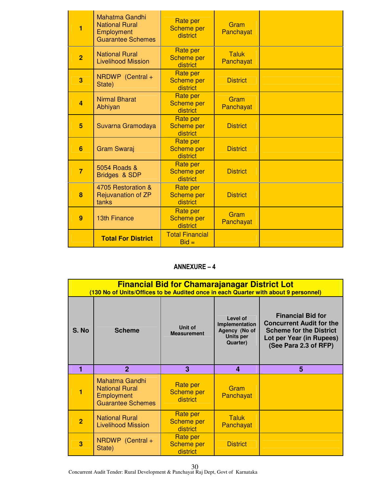| 1              | <b>Mahatma Gandhi</b><br><b>National Rural</b><br>Employment<br><b>Guarantee Schemes</b> | Rate per<br><b>Scheme per</b><br>district        | Gram<br>Panchayat         |  |
|----------------|------------------------------------------------------------------------------------------|--------------------------------------------------|---------------------------|--|
| $\overline{2}$ | <b>National Rural</b><br><b>Livelihood Mission</b>                                       | <b>Rate per</b><br><b>Scheme per</b><br>district | <b>Taluk</b><br>Panchayat |  |
| 3              | NRDWP (Central +<br>State)                                                               | <b>Rate per</b><br><b>Scheme per</b><br>district | <b>District</b>           |  |
| $\overline{a}$ | <b>Nirmal Bharat</b><br>Abhiyan                                                          | Rate per<br><b>Scheme per</b><br>district        | Gram<br>Panchayat         |  |
| 5              | Suvarna Gramodaya                                                                        | Rate per<br><b>Scheme per</b><br>district        | <b>District</b>           |  |
| 6              | <b>Gram Swaraj</b>                                                                       | Rate per<br><b>Scheme per</b><br>district        | <b>District</b>           |  |
| $\overline{7}$ | 5054 Roads &<br>Bridges & SDP                                                            | Rate per<br><b>Scheme per</b><br>district        | <b>District</b>           |  |
| 8              | 4705 Restoration &<br><b>Rejuvanation of ZP</b><br>tanks                                 | <b>Rate per</b><br><b>Scheme per</b><br>district | <b>District</b>           |  |
| 9              | <b>13th Finance</b>                                                                      | Rate per<br><b>Scheme per</b><br>district        | Gram<br>Panchayat         |  |
|                | <b>Total For District</b>                                                                | <b>Total Financial</b><br>$Bid =$                |                           |  |

|                | <b>Financial Bid for Chamarajanagar District Lot</b><br>(130 No of Units/Offices to be Audited once in each Quarter with about 9 personnel) |                                    |                                                                                    |                                                                                                                                                    |  |
|----------------|---------------------------------------------------------------------------------------------------------------------------------------------|------------------------------------|------------------------------------------------------------------------------------|----------------------------------------------------------------------------------------------------------------------------------------------------|--|
| S. No          | <b>Scheme</b>                                                                                                                               | Unit of<br><b>Measurement</b>      | Level of<br>Implementation<br>Agency (No of<br><b>Units per</b><br><b>Quarter)</b> | <b>Financial Bid for</b><br><b>Concurrent Audit for the</b><br><b>Scheme for the District</b><br>Lot per Year (in Rupees)<br>(See Para 2.3 of RFP) |  |
| 1              | $\mathbf{2}$                                                                                                                                | 3                                  | 4                                                                                  | 5                                                                                                                                                  |  |
|                | <b>Mahatma Gandhi</b><br><b>National Rural</b><br>Employment<br><b>Guarantee Schemes</b>                                                    | Rate per<br>Scheme per<br>district | Gram<br>Panchayat                                                                  |                                                                                                                                                    |  |
| $\overline{2}$ | <b>National Rural</b><br><b>Livelihood Mission</b>                                                                                          | Rate per<br>Scheme per<br>district | <b>Taluk</b><br>Panchayat                                                          |                                                                                                                                                    |  |
|                | NRDWP (Central +                                                                                                                            | Rate per                           |                                                                                    |                                                                                                                                                    |  |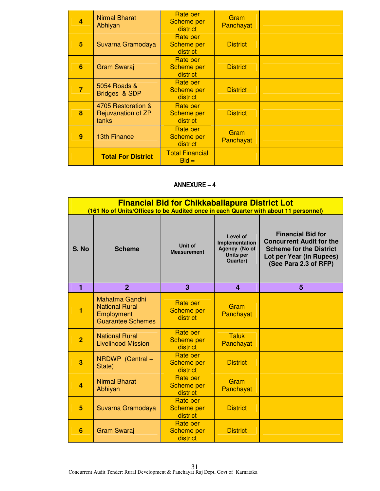| 4 | <b>Nirmal Bharat</b><br>Abhiyan                   | Rate per<br><b>Scheme per</b><br>district | Gram<br>Panchayat |  |
|---|---------------------------------------------------|-------------------------------------------|-------------------|--|
| 5 | Suvarna Gramodaya                                 | Rate per<br><b>Scheme per</b><br>district | <b>District</b>   |  |
| 6 | <b>Gram Swaraj</b>                                | Rate per<br><b>Scheme per</b><br>district | <b>District</b>   |  |
| 7 | 5054 Roads &<br>Bridges & SDP                     | Rate per<br><b>Scheme per</b><br>district | <b>District</b>   |  |
| 8 | 4705 Restoration &<br>Rejuvanation of ZP<br>tanks | Rate per<br><b>Scheme per</b><br>district | <b>District</b>   |  |
| 9 | <b>13th Finance</b>                               | Rate per<br><b>Scheme per</b><br>district | Gram<br>Panchayat |  |
|   | <b>Total For District</b>                         | <b>Total Financial</b><br>$Bid =$         |                   |  |

|                | <b>Financial Bid for Chikkaballapura District Lot</b><br>(161 No of Units/Offices to be Audited once in each Quarter with about 11 personnel) |                                                  |                                                                             |                                                                                                                                                    |  |
|----------------|-----------------------------------------------------------------------------------------------------------------------------------------------|--------------------------------------------------|-----------------------------------------------------------------------------|----------------------------------------------------------------------------------------------------------------------------------------------------|--|
| S. No          | <b>Scheme</b>                                                                                                                                 | Unit of<br><b>Measurement</b>                    | Level of<br>Implementation<br>Agency (No of<br><b>Units per</b><br>Quarter) | <b>Financial Bid for</b><br><b>Concurrent Audit for the</b><br><b>Scheme for the District</b><br>Lot per Year (in Rupees)<br>(See Para 2.3 of RFP) |  |
| 1              | $\overline{2}$                                                                                                                                | 3                                                | $\overline{\mathbf{4}}$                                                     | 5                                                                                                                                                  |  |
| 1              | <b>Mahatma Gandhi</b><br><b>National Rural</b><br>Employment<br><b>Guarantee Schemes</b>                                                      | <b>Rate per</b><br><b>Scheme per</b><br>district | Gram<br>Panchayat                                                           |                                                                                                                                                    |  |
| $\overline{2}$ | <b>National Rural</b><br><b>Livelihood Mission</b>                                                                                            | <b>Rate per</b><br><b>Scheme per</b><br>district | <b>Taluk</b><br>Panchayat                                                   |                                                                                                                                                    |  |
| 3              | NRDWP (Central +<br>State)                                                                                                                    | <b>Rate per</b><br><b>Scheme per</b><br>district | <b>District</b>                                                             |                                                                                                                                                    |  |
| $\overline{a}$ | <b>Nirmal Bharat</b><br>Abhiyan                                                                                                               | <b>Rate per</b><br><b>Scheme per</b><br>district | Gram<br>Panchayat                                                           |                                                                                                                                                    |  |
| 5              | Suvarna Gramodaya                                                                                                                             | <b>Rate per</b><br><b>Scheme per</b><br>district | <b>District</b>                                                             |                                                                                                                                                    |  |
| 6              | <b>Gram Swaraj</b>                                                                                                                            | Rate per<br><b>Scheme per</b><br>district        | <b>District</b>                                                             |                                                                                                                                                    |  |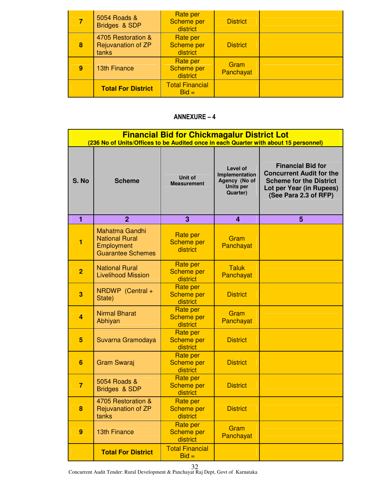|   | 5054 Roads &<br>Bridges & SDP                     | Rate per<br><b>Scheme per</b><br>district | <b>District</b>   |  |
|---|---------------------------------------------------|-------------------------------------------|-------------------|--|
| 8 | 4705 Restoration &<br>Rejuvanation of ZP<br>tanks | Rate per<br><b>Scheme per</b><br>district | <b>District</b>   |  |
| 9 | <b>13th Finance</b>                               | Rate per<br><b>Scheme per</b><br>district | Gram<br>Panchayat |  |
|   | <b>Total For District</b>                         | <b>Total Financial</b><br>$Bid =$         |                   |  |

|                | <b>Financial Bid for Chickmagalur District Lot</b><br>(236 No of Units/Offices to be Audited once in each Quarter with about 15 personnel) |                                                  |                                                                                    |                                                                                                                                                    |  |
|----------------|--------------------------------------------------------------------------------------------------------------------------------------------|--------------------------------------------------|------------------------------------------------------------------------------------|----------------------------------------------------------------------------------------------------------------------------------------------------|--|
| S. No          | <b>Scheme</b>                                                                                                                              | Unit of<br><b>Measurement</b>                    | Level of<br>Implementation<br>Agency (No of<br><b>Units per</b><br><b>Quarter)</b> | <b>Financial Bid for</b><br><b>Concurrent Audit for the</b><br><b>Scheme for the District</b><br>Lot per Year (in Rupees)<br>(See Para 2.3 of RFP) |  |
| 1              | $\overline{2}$                                                                                                                             | 3                                                | 4                                                                                  | 5                                                                                                                                                  |  |
| 1              | <b>Mahatma Gandhi</b><br><b>National Rural</b><br>Employment<br><b>Guarantee Schemes</b>                                                   | Rate per<br><b>Scheme per</b><br>district        | Gram<br>Panchayat                                                                  |                                                                                                                                                    |  |
| $\overline{2}$ | <b>National Rural</b><br><b>Livelihood Mission</b>                                                                                         | Rate per<br><b>Scheme per</b><br>district        | <b>Taluk</b><br>Panchayat                                                          |                                                                                                                                                    |  |
| 3              | NRDWP (Central +<br>State)                                                                                                                 | Rate per<br><b>Scheme per</b><br>district        | <b>District</b>                                                                    |                                                                                                                                                    |  |
| 4              | <b>Nirmal Bharat</b><br>Abhiyan                                                                                                            | Rate per<br><b>Scheme per</b><br>district        | Gram<br>Panchayat                                                                  |                                                                                                                                                    |  |
| 5              | Suvarna Gramodaya                                                                                                                          | Rate per<br><b>Scheme per</b><br>district        | <b>District</b>                                                                    |                                                                                                                                                    |  |
| 6              | Gram Swaraj                                                                                                                                | Rate per<br><b>Scheme per</b><br>district        | <b>District</b>                                                                    |                                                                                                                                                    |  |
| $\overline{7}$ | 5054 Roads &<br>Bridges & SDP                                                                                                              | Rate per<br><b>Scheme per</b><br>district        | <b>District</b>                                                                    |                                                                                                                                                    |  |
| 8              | 4705 Restoration &<br>Rejuvanation of ZP<br>tanks                                                                                          | Rate per<br><b>Scheme per</b><br>district        | <b>District</b>                                                                    |                                                                                                                                                    |  |
| 9              | <b>13th Finance</b>                                                                                                                        | <b>Rate per</b><br><b>Scheme per</b><br>district | Gram<br>Panchayat                                                                  |                                                                                                                                                    |  |
|                | <b>Total For District</b>                                                                                                                  | <b>Total Financial</b><br>$Bid =$                |                                                                                    |                                                                                                                                                    |  |

Concurrent Audit Tender: Rural Development & Panchayat Raj Dept, Govt of Karnataka 32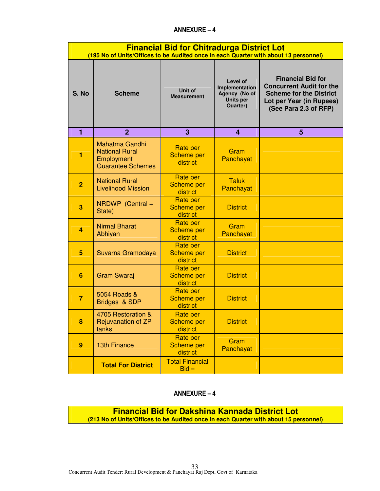|                | <b>Financial Bid for Chitradurga District Lot</b><br>(195 No of Units/Offices to be Audited once in each Quarter with about 13 personnel) |                                                  |                                                                                    |                                                                                                                                                    |  |
|----------------|-------------------------------------------------------------------------------------------------------------------------------------------|--------------------------------------------------|------------------------------------------------------------------------------------|----------------------------------------------------------------------------------------------------------------------------------------------------|--|
| S. No          | <b>Scheme</b>                                                                                                                             | <b>Unit of</b><br><b>Measurement</b>             | <b>Level of</b><br>Implementation<br>Agency (No of<br><b>Units per</b><br>Quarter) | <b>Financial Bid for</b><br><b>Concurrent Audit for the</b><br><b>Scheme for the District</b><br>Lot per Year (in Rupees)<br>(See Para 2.3 of RFP) |  |
| 1              | $\overline{2}$                                                                                                                            | 3                                                | 4                                                                                  | 5                                                                                                                                                  |  |
| 1              | <b>Mahatma Gandhi</b><br><b>National Rural</b><br>Employment<br><b>Guarantee Schemes</b>                                                  | <b>Rate per</b><br><b>Scheme per</b><br>district | Gram<br>Panchayat                                                                  |                                                                                                                                                    |  |
| $\overline{2}$ | <b>National Rural</b><br><b>Livelihood Mission</b>                                                                                        | Rate per<br><b>Scheme per</b><br>district        | <b>Taluk</b><br>Panchayat                                                          |                                                                                                                                                    |  |
| 3              | NRDWP (Central +<br>State)                                                                                                                | Rate per<br><b>Scheme per</b><br>district        | <b>District</b>                                                                    |                                                                                                                                                    |  |
| 4              | <b>Nirmal Bharat</b><br>Abhiyan                                                                                                           | Rate per<br><b>Scheme per</b><br>district        | Gram<br>Panchayat                                                                  |                                                                                                                                                    |  |
| 5              | Suvarna Gramodaya                                                                                                                         | Rate per<br><b>Scheme per</b><br>district        | <b>District</b>                                                                    |                                                                                                                                                    |  |
| 6              | <b>Gram Swaraj</b>                                                                                                                        | <b>Rate per</b><br><b>Scheme per</b><br>district | <b>District</b>                                                                    |                                                                                                                                                    |  |
| $\overline{7}$ | 5054 Roads &<br>Bridges & SDP                                                                                                             | <b>Rate per</b><br><b>Scheme per</b><br>district | <b>District</b>                                                                    |                                                                                                                                                    |  |
| 8              | 4705 Restoration &<br>Rejuvanation of ZP<br>tanks                                                                                         | Rate per<br>Scheme per<br>district               | <b>District</b>                                                                    |                                                                                                                                                    |  |
| 9              | <b>13th Finance</b>                                                                                                                       | Rate per<br><b>Scheme per</b><br>district        | Gram<br>Panchayat                                                                  |                                                                                                                                                    |  |
|                | <b>Total For District</b>                                                                                                                 | <b>Total Financial</b><br>$Bid =$                |                                                                                    |                                                                                                                                                    |  |

# ANNEXURE – 4

**Financial Bid for Dakshina Kannada District Lot (213 No of Units/Offices to be Audited once in each Quarter with about 15 personnel)**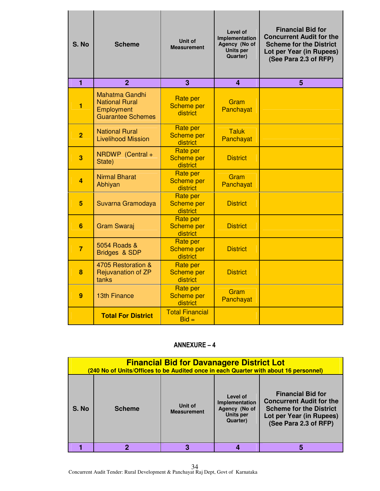| S. No          | <b>Scheme</b>                                                                            | Unit of<br><b>Measurement</b>                    | Level of<br>Implementation<br>Agency (No of<br>Units per<br>Quarter) | <b>Financial Bid for</b><br><b>Concurrent Audit for the</b><br><b>Scheme for the District</b><br>Lot per Year (in Rupees)<br>(See Para 2.3 of RFP) |
|----------------|------------------------------------------------------------------------------------------|--------------------------------------------------|----------------------------------------------------------------------|----------------------------------------------------------------------------------------------------------------------------------------------------|
| $\blacksquare$ | $\overline{2}$                                                                           | 3                                                | 4                                                                    | 5                                                                                                                                                  |
| 1              | <b>Mahatma Gandhi</b><br><b>National Rural</b><br>Employment<br><b>Guarantee Schemes</b> | <b>Rate per</b><br><b>Scheme per</b><br>district | Gram<br>Panchayat                                                    |                                                                                                                                                    |
| $\overline{2}$ | <b>National Rural</b><br><b>Livelihood Mission</b>                                       | <b>Rate per</b><br><b>Scheme per</b><br>district | <b>Taluk</b><br>Panchayat                                            |                                                                                                                                                    |
| 3              | NRDWP (Central +<br>State)                                                               | <b>Rate per</b><br><b>Scheme per</b><br>district | <b>District</b>                                                      |                                                                                                                                                    |
| 4              | <b>Nirmal Bharat</b><br>Abhiyan                                                          | <b>Rate per</b><br><b>Scheme per</b><br>district | Gram<br>Panchayat                                                    |                                                                                                                                                    |
| 5              | Suvarna Gramodaya                                                                        | <b>Rate per</b><br><b>Scheme per</b><br>district | <b>District</b>                                                      |                                                                                                                                                    |
| 6              | <b>Gram Swaraj</b>                                                                       | Rate per<br><b>Scheme per</b><br>district        | <b>District</b>                                                      |                                                                                                                                                    |
| $\overline{7}$ | 5054 Roads &<br>Bridges & SDP                                                            | <b>Rate per</b><br><b>Scheme per</b><br>district | <b>District</b>                                                      |                                                                                                                                                    |
| 8              | 4705 Restoration &<br><b>Rejuvanation of ZP</b><br>tanks                                 | <b>Rate per</b><br><b>Scheme per</b><br>district | <b>District</b>                                                      |                                                                                                                                                    |
| 9              | <b>13th Finance</b>                                                                      | <b>Rate per</b><br><b>Scheme per</b><br>district | Gram<br>Panchayat                                                    |                                                                                                                                                    |
|                | <b>Total For District</b>                                                                | <b>Total Financial</b><br>$Bid =$                |                                                                      |                                                                                                                                                    |

|       | <b>Financial Bid for Davanagere District Lot</b><br>(240 No of Units/Offices to be Audited once in each Quarter with about 16 personnel) |                               |                                                                             |                                                                                                                                                    |
|-------|------------------------------------------------------------------------------------------------------------------------------------------|-------------------------------|-----------------------------------------------------------------------------|----------------------------------------------------------------------------------------------------------------------------------------------------|
| S. No | <b>Scheme</b>                                                                                                                            | Unit of<br><b>Measurement</b> | Level of<br>Implementation<br>Agency (No of<br><b>Units per</b><br>Quarter) | <b>Financial Bid for</b><br><b>Concurrent Audit for the</b><br><b>Scheme for the District</b><br>Lot per Year (in Rupees)<br>(See Para 2.3 of RFP) |
|       |                                                                                                                                          | 3                             |                                                                             |                                                                                                                                                    |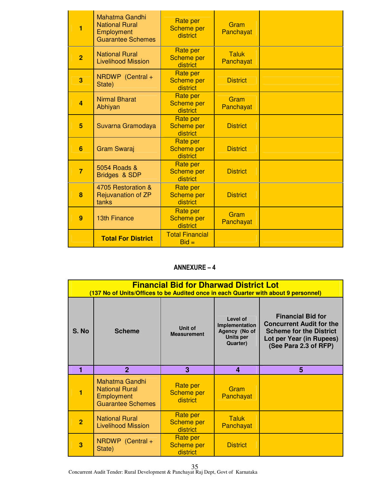| 1              | <b>Mahatma Gandhi</b><br><b>National Rural</b><br>Employment<br><b>Guarantee Schemes</b> | Rate per<br><b>Scheme per</b><br>district        | Gram<br>Panchayat         |  |
|----------------|------------------------------------------------------------------------------------------|--------------------------------------------------|---------------------------|--|
| $\overline{2}$ | <b>National Rural</b><br><b>Livelihood Mission</b>                                       | <b>Rate per</b><br><b>Scheme per</b><br>district | <b>Taluk</b><br>Panchayat |  |
| 3              | NRDWP (Central +<br>State)                                                               | <b>Rate per</b><br><b>Scheme per</b><br>district | <b>District</b>           |  |
| $\overline{a}$ | <b>Nirmal Bharat</b><br>Abhiyan                                                          | Rate per<br><b>Scheme per</b><br>district        | Gram<br>Panchayat         |  |
| 5              | Suvarna Gramodaya                                                                        | Rate per<br><b>Scheme per</b><br>district        | <b>District</b>           |  |
| 6              | <b>Gram Swaraj</b>                                                                       | Rate per<br><b>Scheme per</b><br>district        | <b>District</b>           |  |
| $\overline{7}$ | 5054 Roads &<br>Bridges & SDP                                                            | Rate per<br><b>Scheme per</b><br>district        | <b>District</b>           |  |
| 8              | 4705 Restoration &<br><b>Rejuvanation of ZP</b><br>tanks                                 | <b>Rate per</b><br><b>Scheme per</b><br>district | <b>District</b>           |  |
| 9              | <b>13th Finance</b>                                                                      | Rate per<br><b>Scheme per</b><br>district        | Gram<br>Panchayat         |  |
|                | <b>Total For District</b>                                                                | <b>Total Financial</b><br>$Bid =$                |                           |  |

|                | <b>Financial Bid for Dharwad District Lot</b><br>(137 No of Units/Offices to be Audited once in each Quarter with about 9 personnel) |                                    |                                                                             |                                                                                                                                                    |  |
|----------------|--------------------------------------------------------------------------------------------------------------------------------------|------------------------------------|-----------------------------------------------------------------------------|----------------------------------------------------------------------------------------------------------------------------------------------------|--|
| S. No          | <b>Scheme</b>                                                                                                                        | Unit of<br><b>Measurement</b>      | Level of<br>Implementation<br>Agency (No of<br><b>Units per</b><br>Quarter) | <b>Financial Bid for</b><br><b>Concurrent Audit for the</b><br><b>Scheme for the District</b><br>Lot per Year (in Rupees)<br>(See Para 2.3 of RFP) |  |
| 1              | $\mathfrak{p}$                                                                                                                       | 3                                  | 4                                                                           | 5                                                                                                                                                  |  |
|                | Mahatma Gandhi<br><b>National Rural</b><br>Employment<br><b>Guarantee Schemes</b>                                                    | Rate per<br>Scheme per<br>district | Gram<br>Panchayat                                                           |                                                                                                                                                    |  |
| $\overline{2}$ | <b>National Rural</b><br><b>Livelihood Mission</b>                                                                                   | Rate per<br>Scheme per<br>district | Taluk<br>Panchayat                                                          |                                                                                                                                                    |  |
| 3              | NRDWP (Central +<br>State)                                                                                                           | Rate per<br>Scheme per<br>district | <b>District</b>                                                             |                                                                                                                                                    |  |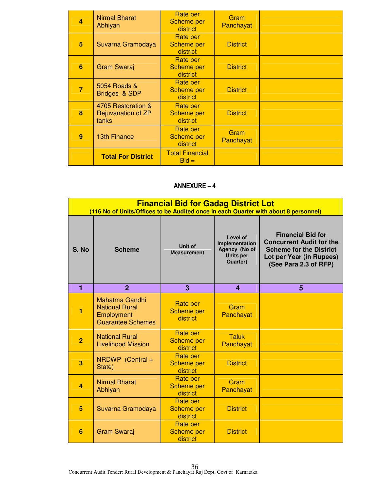| 4 | <b>Nirmal Bharat</b><br>Abhiyan                   | Rate per<br><b>Scheme per</b><br>district | Gram<br>Panchayat |  |
|---|---------------------------------------------------|-------------------------------------------|-------------------|--|
| 5 | Suvarna Gramodaya                                 | Rate per<br><b>Scheme per</b><br>district | <b>District</b>   |  |
| 6 | <b>Gram Swaraj</b>                                | Rate per<br><b>Scheme per</b><br>district | <b>District</b>   |  |
| 7 | 5054 Roads &<br>Bridges & SDP                     | Rate per<br><b>Scheme per</b><br>district | <b>District</b>   |  |
| 8 | 4705 Restoration &<br>Rejuvanation of ZP<br>tanks | Rate per<br><b>Scheme per</b><br>district | <b>District</b>   |  |
| 9 | <b>13th Finance</b>                               | Rate per<br><b>Scheme per</b><br>district | Gram<br>Panchayat |  |
|   | <b>Total For District</b>                         | <b>Total Financial</b><br>$Bid =$         |                   |  |

|                | <b>Financial Bid for Gadag District Lot</b><br>(116 No of Units/Offices to be Audited once in each Quarter with about 8 personnel) |                                                  |                                                                                    |                                                                                                                                                    |  |
|----------------|------------------------------------------------------------------------------------------------------------------------------------|--------------------------------------------------|------------------------------------------------------------------------------------|----------------------------------------------------------------------------------------------------------------------------------------------------|--|
| S. No          | <b>Scheme</b>                                                                                                                      | Unit of<br><b>Measurement</b>                    | <b>Level of</b><br>Implementation<br>Agency (No of<br><b>Units per</b><br>Quarter) | <b>Financial Bid for</b><br><b>Concurrent Audit for the</b><br><b>Scheme for the District</b><br>Lot per Year (in Rupees)<br>(See Para 2.3 of RFP) |  |
| 1              | $\overline{2}$                                                                                                                     | 3                                                | $\overline{\mathbf{4}}$                                                            | 5                                                                                                                                                  |  |
| 1              | <b>Mahatma Gandhi</b><br><b>National Rural</b><br>Employment<br><b>Guarantee Schemes</b>                                           | <b>Rate per</b><br><b>Scheme per</b><br>district | Gram<br>Panchayat                                                                  |                                                                                                                                                    |  |
| $\overline{2}$ | <b>National Rural</b><br><b>Livelihood Mission</b>                                                                                 | Rate per<br><b>Scheme per</b><br>district        | <b>Taluk</b><br>Panchayat                                                          |                                                                                                                                                    |  |
| 3              | NRDWP (Central +<br>State)                                                                                                         | Rate per<br><b>Scheme per</b><br>district        | <b>District</b>                                                                    |                                                                                                                                                    |  |
| $\overline{a}$ | <b>Nirmal Bharat</b><br>Abhiyan                                                                                                    | Rate per<br><b>Scheme per</b><br>district        | Gram<br>Panchayat                                                                  |                                                                                                                                                    |  |
| 5              | Suvarna Gramodaya                                                                                                                  | Rate per<br><b>Scheme per</b><br>district        | <b>District</b>                                                                    |                                                                                                                                                    |  |
| 6              | <b>Gram Swaraj</b>                                                                                                                 | Rate per<br><b>Scheme per</b><br>district        | <b>District</b>                                                                    |                                                                                                                                                    |  |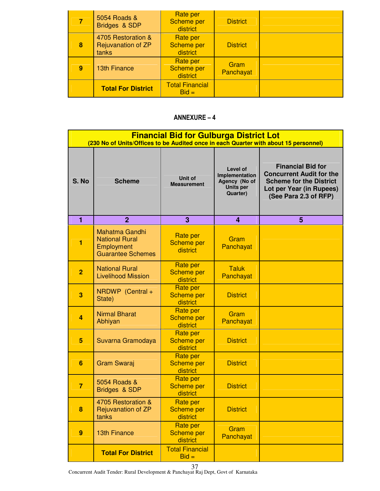|   | 5054 Roads &<br>Bridges & SDP                     | Rate per<br><b>Scheme per</b><br>district | <b>District</b>   |  |
|---|---------------------------------------------------|-------------------------------------------|-------------------|--|
| 8 | 4705 Restoration &<br>Rejuvanation of ZP<br>tanks | Rate per<br><b>Scheme per</b><br>district | <b>District</b>   |  |
| 9 | <b>13th Finance</b>                               | Rate per<br><b>Scheme per</b><br>district | Gram<br>Panchayat |  |
|   | <b>Total For District</b>                         | <b>Total Financial</b><br>$Bid =$         |                   |  |

|                | <b>Financial Bid for Gulburga District Lot</b><br>(230 No of Units/Offices to be Audited once in each Quarter with about 15 personnel) |                                                  |                                                                             |                                                                                                                                                    |
|----------------|----------------------------------------------------------------------------------------------------------------------------------------|--------------------------------------------------|-----------------------------------------------------------------------------|----------------------------------------------------------------------------------------------------------------------------------------------------|
| S. No          | <b>Scheme</b>                                                                                                                          | Unit of<br><b>Measurement</b>                    | Level of<br>Implementation<br>Agency (No of<br><b>Units per</b><br>Quarter) | <b>Financial Bid for</b><br><b>Concurrent Audit for the</b><br><b>Scheme for the District</b><br>Lot per Year (in Rupees)<br>(See Para 2.3 of RFP) |
| $\blacksquare$ | $\overline{2}$                                                                                                                         | 3                                                | 4                                                                           | 5                                                                                                                                                  |
| 1              | <b>Mahatma Gandhi</b><br><b>National Rural</b><br>Employment<br><b>Guarantee Schemes</b>                                               | <b>Rate per</b><br><b>Scheme per</b><br>district | Gram<br>Panchayat                                                           |                                                                                                                                                    |
| $\overline{2}$ | <b>National Rural</b><br><b>Livelihood Mission</b>                                                                                     | <b>Rate per</b><br><b>Scheme per</b><br>district | <b>Taluk</b><br>Panchayat                                                   |                                                                                                                                                    |
| 3              | NRDWP (Central +<br>State)                                                                                                             | Rate per<br><b>Scheme per</b><br>district        | <b>District</b>                                                             |                                                                                                                                                    |
| 4              | <b>Nirmal Bharat</b><br>Abhiyan                                                                                                        | <b>Rate per</b><br><b>Scheme per</b><br>district | Gram<br>Panchayat                                                           |                                                                                                                                                    |
| 5              | Suvarna Gramodaya                                                                                                                      | Rate per<br><b>Scheme per</b><br>district        | <b>District</b>                                                             |                                                                                                                                                    |
| 6              | <b>Gram Swaraj</b>                                                                                                                     | Rate per<br><b>Scheme per</b><br>district        | <b>District</b>                                                             |                                                                                                                                                    |
| $\overline{7}$ | 5054 Roads &<br>Bridges & SDP                                                                                                          | Rate per<br><b>Scheme per</b><br>district        | <b>District</b>                                                             |                                                                                                                                                    |
| 8              | 4705 Restoration &<br>Rejuvanation of ZP<br>tanks                                                                                      | Rate per<br><b>Scheme per</b><br>district        | <b>District</b>                                                             |                                                                                                                                                    |
| 9              | <b>13th Finance</b>                                                                                                                    | <b>Rate per</b><br><b>Scheme per</b><br>district | Gram<br>Panchayat                                                           |                                                                                                                                                    |
|                | <b>Total For District</b>                                                                                                              | <b>Total Financial</b><br>$Bid =$                |                                                                             |                                                                                                                                                    |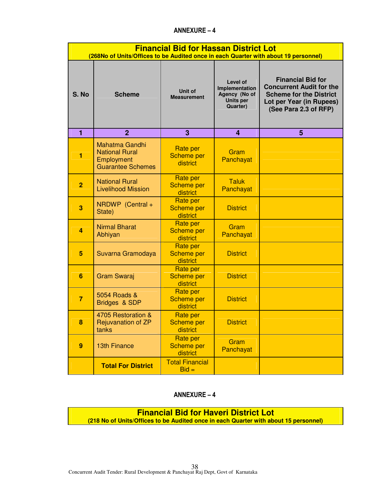|                  | <b>Financial Bid for Hassan District Lot</b><br>(268No of Units/Offices to be Audited once in each Quarter with about 19 personnel) |                                           |                                                                             |                                                                                                                                                    |
|------------------|-------------------------------------------------------------------------------------------------------------------------------------|-------------------------------------------|-----------------------------------------------------------------------------|----------------------------------------------------------------------------------------------------------------------------------------------------|
| S. No            | <b>Scheme</b>                                                                                                                       | Unit of<br><b>Measurement</b>             | Level of<br>Implementation<br>Agency (No of<br><b>Units per</b><br>Quarter) | <b>Financial Bid for</b><br><b>Concurrent Audit for the</b><br><b>Scheme for the District</b><br>Lot per Year (in Rupees)<br>(See Para 2.3 of RFP) |
| 1                | $\overline{2}$                                                                                                                      | 3                                         | 4                                                                           | 5                                                                                                                                                  |
| 1                | <b>Mahatma Gandhi</b><br><b>National Rural</b><br>Employment<br><b>Guarantee Schemes</b>                                            | Rate per<br><b>Scheme per</b><br>district | Gram<br>Panchayat                                                           |                                                                                                                                                    |
| $\overline{2}$   | <b>National Rural</b><br><b>Livelihood Mission</b>                                                                                  | Rate per<br><b>Scheme per</b><br>district | <b>Taluk</b><br>Panchayat                                                   |                                                                                                                                                    |
| 3                | NRDWP (Central +<br>State)                                                                                                          | Rate per<br><b>Scheme per</b><br>district | <b>District</b>                                                             |                                                                                                                                                    |
| 4                | <b>Nirmal Bharat</b><br>Abhiyan                                                                                                     | Rate per<br><b>Scheme per</b><br>district | Gram<br>Panchayat                                                           |                                                                                                                                                    |
| 5                | Suvarna Gramodaya                                                                                                                   | Rate per<br><b>Scheme per</b><br>district | <b>District</b>                                                             |                                                                                                                                                    |
| 6                | <b>Gram Swaraj</b>                                                                                                                  | Rate per<br><b>Scheme per</b><br>district | <b>District</b>                                                             |                                                                                                                                                    |
| $\overline{7}$   | 5054 Roads &<br>Bridges & SDP                                                                                                       | Rate per<br><b>Scheme per</b><br>district | <b>District</b>                                                             |                                                                                                                                                    |
| 8                | 4705 Restoration &<br>Rejuvanation of ZP<br>tanks                                                                                   | Rate per<br><b>Scheme per</b><br>district | <b>District</b>                                                             |                                                                                                                                                    |
| $\boldsymbol{9}$ | <b>13th Finance</b>                                                                                                                 | Rate per<br><b>Scheme per</b><br>district | Gram<br>Panchayat                                                           |                                                                                                                                                    |
|                  | <b>Total For District</b>                                                                                                           | <b>Total Financial</b><br>$Bid =$         |                                                                             |                                                                                                                                                    |

# ANNEXURE – 4

**Financial Bid for Haveri District Lot (218 No of Units/Offices to be Audited once in each Quarter with about 15 personnel)**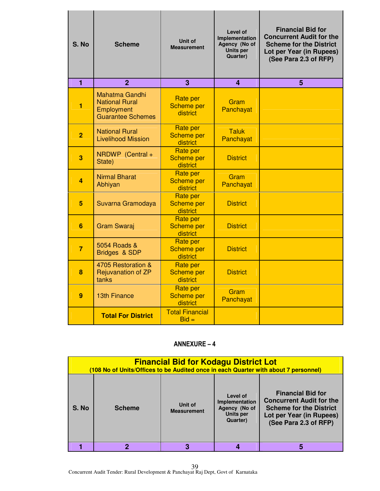| S. No          | <b>Scheme</b>                                                                            | Unit of<br><b>Measurement</b>                    | Level of<br>Implementation<br>Agency (No of<br>Units per<br>Quarter) | <b>Financial Bid for</b><br><b>Concurrent Audit for the</b><br><b>Scheme for the District</b><br>Lot per Year (in Rupees)<br>(See Para 2.3 of RFP) |
|----------------|------------------------------------------------------------------------------------------|--------------------------------------------------|----------------------------------------------------------------------|----------------------------------------------------------------------------------------------------------------------------------------------------|
| $\blacksquare$ | $\overline{2}$                                                                           | 3                                                | 4                                                                    | 5                                                                                                                                                  |
| 1              | <b>Mahatma Gandhi</b><br><b>National Rural</b><br>Employment<br><b>Guarantee Schemes</b> | <b>Rate per</b><br><b>Scheme per</b><br>district | Gram<br>Panchayat                                                    |                                                                                                                                                    |
| $\overline{2}$ | <b>National Rural</b><br><b>Livelihood Mission</b>                                       | <b>Rate per</b><br><b>Scheme per</b><br>district | <b>Taluk</b><br>Panchayat                                            |                                                                                                                                                    |
| 3              | NRDWP (Central +<br>State)                                                               | <b>Rate per</b><br><b>Scheme per</b><br>district | <b>District</b>                                                      |                                                                                                                                                    |
| 4              | <b>Nirmal Bharat</b><br>Abhiyan                                                          | <b>Rate per</b><br><b>Scheme per</b><br>district | Gram<br>Panchayat                                                    |                                                                                                                                                    |
| 5              | Suvarna Gramodaya                                                                        | <b>Rate per</b><br><b>Scheme per</b><br>district | <b>District</b>                                                      |                                                                                                                                                    |
| 6              | <b>Gram Swaraj</b>                                                                       | Rate per<br><b>Scheme per</b><br>district        | <b>District</b>                                                      |                                                                                                                                                    |
| $\overline{7}$ | 5054 Roads &<br>Bridges & SDP                                                            | <b>Rate per</b><br><b>Scheme per</b><br>district | <b>District</b>                                                      |                                                                                                                                                    |
| 8              | 4705 Restoration &<br><b>Rejuvanation of ZP</b><br>tanks                                 | <b>Rate per</b><br><b>Scheme per</b><br>district | <b>District</b>                                                      |                                                                                                                                                    |
| 9              | <b>13th Finance</b>                                                                      | <b>Rate per</b><br><b>Scheme per</b><br>district | Gram<br>Panchayat                                                    |                                                                                                                                                    |
|                | <b>Total For District</b>                                                                | <b>Total Financial</b><br>$Bid =$                |                                                                      |                                                                                                                                                    |

|       | <b>Financial Bid for Kodagu District Lot</b><br>(108 No of Units/Offices to be Audited once in each Quarter with about 7 personnel) |                               |                                                                             |                                                                                                                                                    |
|-------|-------------------------------------------------------------------------------------------------------------------------------------|-------------------------------|-----------------------------------------------------------------------------|----------------------------------------------------------------------------------------------------------------------------------------------------|
| S. No | <b>Scheme</b>                                                                                                                       | Unit of<br><b>Measurement</b> | Level of<br>Implementation<br>Agency (No of<br><b>Units per</b><br>Quarter) | <b>Financial Bid for</b><br><b>Concurrent Audit for the</b><br><b>Scheme for the District</b><br>Lot per Year (in Rupees)<br>(See Para 2.3 of RFP) |
|       |                                                                                                                                     | 3                             |                                                                             |                                                                                                                                                    |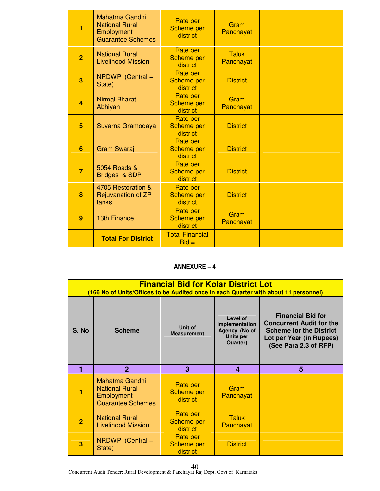| 1              | <b>Mahatma Gandhi</b><br><b>National Rural</b><br>Employment<br><b>Guarantee Schemes</b> | Rate per<br><b>Scheme per</b><br>district        | Gram<br>Panchayat         |  |
|----------------|------------------------------------------------------------------------------------------|--------------------------------------------------|---------------------------|--|
| $\overline{2}$ | <b>National Rural</b><br><b>Livelihood Mission</b>                                       | <b>Rate per</b><br><b>Scheme per</b><br>district | <b>Taluk</b><br>Panchayat |  |
| 3              | NRDWP (Central +<br>State)                                                               | <b>Rate per</b><br><b>Scheme per</b><br>district | <b>District</b>           |  |
| $\overline{a}$ | <b>Nirmal Bharat</b><br>Abhiyan                                                          | Rate per<br><b>Scheme per</b><br>district        | Gram<br>Panchayat         |  |
| 5              | Suvarna Gramodaya                                                                        | Rate per<br><b>Scheme per</b><br>district        | <b>District</b>           |  |
| 6              | <b>Gram Swaraj</b>                                                                       | Rate per<br><b>Scheme per</b><br>district        | <b>District</b>           |  |
| $\overline{7}$ | 5054 Roads &<br>Bridges & SDP                                                            | Rate per<br><b>Scheme per</b><br>district        | <b>District</b>           |  |
| 8              | 4705 Restoration &<br><b>Rejuvanation of ZP</b><br>tanks                                 | <b>Rate per</b><br><b>Scheme per</b><br>district | <b>District</b>           |  |
| 9              | <b>13th Finance</b>                                                                      | Rate per<br><b>Scheme per</b><br>district        | Gram<br>Panchayat         |  |
|                | <b>Total For District</b>                                                                | <b>Total Financial</b><br>$Bid =$                |                           |  |

|                | <b>Financial Bid for Kolar District Lot</b><br>(166 No of Units/Offices to be Audited once in each Quarter with about 11 personnel) |                                                  |                                                                                    |                                                                                                                                                    |  |
|----------------|-------------------------------------------------------------------------------------------------------------------------------------|--------------------------------------------------|------------------------------------------------------------------------------------|----------------------------------------------------------------------------------------------------------------------------------------------------|--|
| S. No          | <b>Scheme</b>                                                                                                                       | Unit of<br><b>Measurement</b>                    | Level of<br>Implementation<br>Agency (No of<br><b>Units per</b><br><b>Quarter)</b> | <b>Financial Bid for</b><br><b>Concurrent Audit for the</b><br><b>Scheme for the District</b><br>Lot per Year (in Rupees)<br>(See Para 2.3 of RFP) |  |
|                | $\overline{2}$                                                                                                                      | 3                                                | 4                                                                                  | 5                                                                                                                                                  |  |
|                | Mahatma Gandhi<br><b>National Rural</b><br>Employment<br><b>Guarantee Schemes</b>                                                   | Rate per<br>Scheme per<br>district               | Gram<br>Panchayat                                                                  |                                                                                                                                                    |  |
| $\overline{2}$ | <b>National Rural</b><br><b>Livelihood Mission</b>                                                                                  | <b>Rate per</b><br><b>Scheme per</b><br>district | Taluk<br>Panchayat                                                                 |                                                                                                                                                    |  |
| 3              | NRDWP (Central +<br>State)                                                                                                          | Rate per<br>Scheme per                           | <b>District</b>                                                                    |                                                                                                                                                    |  |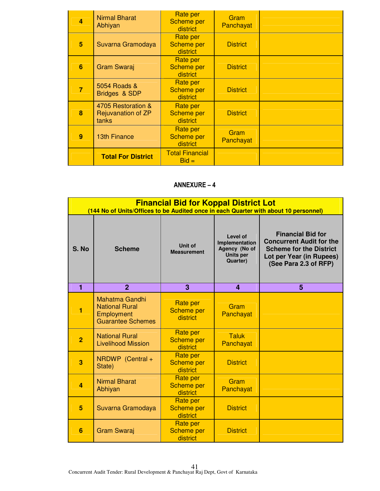| 4 | <b>Nirmal Bharat</b><br>Abhiyan                   | Rate per<br><b>Scheme per</b><br>district | Gram<br>Panchayat |  |
|---|---------------------------------------------------|-------------------------------------------|-------------------|--|
| 5 | Suvarna Gramodaya                                 | Rate per<br><b>Scheme per</b><br>district | <b>District</b>   |  |
| 6 | <b>Gram Swaraj</b>                                | Rate per<br><b>Scheme per</b><br>district | <b>District</b>   |  |
| 7 | 5054 Roads &<br>Bridges & SDP                     | Rate per<br><b>Scheme per</b><br>district | <b>District</b>   |  |
| 8 | 4705 Restoration &<br>Rejuvanation of ZP<br>tanks | Rate per<br><b>Scheme per</b><br>district | <b>District</b>   |  |
| 9 | <b>13th Finance</b>                               | Rate per<br><b>Scheme per</b><br>district | Gram<br>Panchayat |  |
|   | <b>Total For District</b>                         | <b>Total Financial</b><br>$Bid =$         |                   |  |

|                | <b>Financial Bid for Koppal District Lot</b><br>(144 No of Units/Offices to be Audited once in each Quarter with about 10 personnel) |                                                  |                                                                             |                                                                                                                                                    |  |
|----------------|--------------------------------------------------------------------------------------------------------------------------------------|--------------------------------------------------|-----------------------------------------------------------------------------|----------------------------------------------------------------------------------------------------------------------------------------------------|--|
| S. No          | <b>Scheme</b>                                                                                                                        | Unit of<br><b>Measurement</b>                    | Level of<br>Implementation<br>Agency (No of<br><b>Units per</b><br>Quarter) | <b>Financial Bid for</b><br><b>Concurrent Audit for the</b><br><b>Scheme for the District</b><br>Lot per Year (in Rupees)<br>(See Para 2.3 of RFP) |  |
| 1              | $\overline{2}$                                                                                                                       | 3                                                | $\overline{\mathbf{4}}$                                                     | 5                                                                                                                                                  |  |
| 1              | <b>Mahatma Gandhi</b><br><b>National Rural</b><br>Employment<br><b>Guarantee Schemes</b>                                             | <b>Rate per</b><br><b>Scheme per</b><br>district | Gram<br>Panchayat                                                           |                                                                                                                                                    |  |
| $\overline{2}$ | <b>National Rural</b><br><b>Livelihood Mission</b>                                                                                   | Rate per<br><b>Scheme per</b><br>district        | <b>Taluk</b><br>Panchayat                                                   |                                                                                                                                                    |  |
| 3              | NRDWP (Central +<br>State)                                                                                                           | <b>Rate per</b><br><b>Scheme per</b><br>district | <b>District</b>                                                             |                                                                                                                                                    |  |
| $\overline{a}$ | <b>Nirmal Bharat</b><br>Abhiyan                                                                                                      | Rate per<br><b>Scheme per</b><br>district        | Gram<br>Panchayat                                                           |                                                                                                                                                    |  |
| 5              | Suvarna Gramodaya                                                                                                                    | Rate per<br><b>Scheme per</b><br>district        | <b>District</b>                                                             |                                                                                                                                                    |  |
| 6              | <b>Gram Swaraj</b>                                                                                                                   | <b>Rate per</b><br><b>Scheme per</b><br>district | <b>District</b>                                                             |                                                                                                                                                    |  |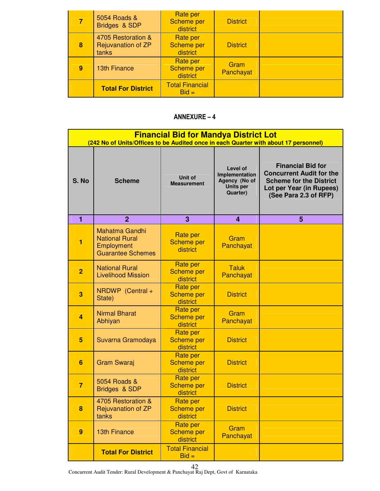|   | 5054 Roads &<br>Bridges & SDP                     | Rate per<br><b>Scheme per</b><br>district | <b>District</b>   |  |
|---|---------------------------------------------------|-------------------------------------------|-------------------|--|
| 8 | 4705 Restoration &<br>Rejuvanation of ZP<br>tanks | Rate per<br><b>Scheme per</b><br>district | <b>District</b>   |  |
| 9 | <b>13th Finance</b>                               | Rate per<br><b>Scheme per</b><br>district | Gram<br>Panchayat |  |
|   | <b>Total For District</b>                         | <b>Total Financial</b><br>$Bid =$         |                   |  |

|                | <b>Financial Bid for Mandya District Lot</b><br>(242 No of Units/Offices to be Audited once in each Quarter with about 17 personnel) |                                                  |                                                                      |                                                                                                                                                    |  |
|----------------|--------------------------------------------------------------------------------------------------------------------------------------|--------------------------------------------------|----------------------------------------------------------------------|----------------------------------------------------------------------------------------------------------------------------------------------------|--|
| S. No          | <b>Scheme</b>                                                                                                                        | Unit of<br><b>Measurement</b>                    | Level of<br>Implementation<br>Agency (No of<br>Units per<br>Quarter) | <b>Financial Bid for</b><br><b>Concurrent Audit for the</b><br><b>Scheme for the District</b><br>Lot per Year (in Rupees)<br>(See Para 2.3 of RFP) |  |
| 1              | $\overline{2}$                                                                                                                       | 3                                                | 4                                                                    | 5                                                                                                                                                  |  |
| $\mathbf{1}$   | <b>Mahatma Gandhi</b><br><b>National Rural</b><br>Employment<br><b>Guarantee Schemes</b>                                             | Rate per<br><b>Scheme per</b><br>district        | Gram<br>Panchayat                                                    |                                                                                                                                                    |  |
| $\overline{2}$ | <b>National Rural</b><br><b>Livelihood Mission</b>                                                                                   | <b>Rate per</b><br><b>Scheme per</b><br>district | <b>Taluk</b><br>Panchayat                                            |                                                                                                                                                    |  |
| 3              | NRDWP (Central +<br>State)                                                                                                           | <b>Rate per</b><br><b>Scheme per</b><br>district | <b>District</b>                                                      |                                                                                                                                                    |  |
| $\overline{a}$ | <b>Nirmal Bharat</b><br>Abhiyan                                                                                                      | Rate per<br><b>Scheme per</b><br>district        | Gram<br>Panchayat                                                    |                                                                                                                                                    |  |
| 5              | Suvarna Gramodaya                                                                                                                    | Rate per<br><b>Scheme per</b><br>district        | <b>District</b>                                                      |                                                                                                                                                    |  |
| 6              | Gram Swaraj                                                                                                                          | Rate per<br><b>Scheme per</b><br>district        | <b>District</b>                                                      |                                                                                                                                                    |  |
| $\overline{7}$ | 5054 Roads &<br>Bridges & SDP                                                                                                        | Rate per<br><b>Scheme per</b><br>district        | <b>District</b>                                                      |                                                                                                                                                    |  |
| 8              | 4705 Restoration &<br>Rejuvanation of ZP<br>tanks                                                                                    | Rate per<br><b>Scheme per</b><br>district        | <b>District</b>                                                      |                                                                                                                                                    |  |
| 9              | <b>13th Finance</b>                                                                                                                  | <b>Rate per</b><br><b>Scheme per</b><br>district | Gram<br>Panchayat                                                    |                                                                                                                                                    |  |
|                | <b>Total For District</b>                                                                                                            | <b>Total Financial</b><br>$Bid =$                |                                                                      |                                                                                                                                                    |  |

Concurrent Audit Tender: Rural Development & Panchayat Raj Dept, Govt of Karnataka 42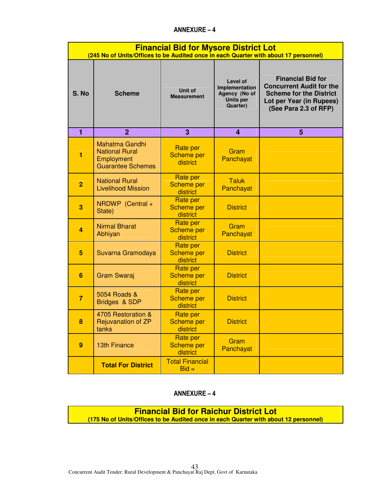|                | <b>Financial Bid for Mysore District Lot</b><br>(245 No of Units/Offices to be Audited once in each Quarter with about 17 personnel) |                                                  |                                                                                    |                                                                                                                                                    |  |
|----------------|--------------------------------------------------------------------------------------------------------------------------------------|--------------------------------------------------|------------------------------------------------------------------------------------|----------------------------------------------------------------------------------------------------------------------------------------------------|--|
| S. No          | <b>Scheme</b>                                                                                                                        | <b>Unit of</b><br><b>Measurement</b>             | <b>Level of</b><br>Implementation<br>Agency (No of<br><b>Units per</b><br>Quarter) | <b>Financial Bid for</b><br><b>Concurrent Audit for the</b><br><b>Scheme for the District</b><br>Lot per Year (in Rupees)<br>(See Para 2.3 of RFP) |  |
| 1              | $\overline{2}$                                                                                                                       | 3                                                | 4                                                                                  | 5                                                                                                                                                  |  |
| 1              | <b>Mahatma Gandhi</b><br><b>National Rural</b><br>Employment<br><b>Guarantee Schemes</b>                                             | <b>Rate per</b><br><b>Scheme per</b><br>district | Gram<br>Panchayat                                                                  |                                                                                                                                                    |  |
| $\overline{2}$ | <b>National Rural</b><br><b>Livelihood Mission</b>                                                                                   | Rate per<br><b>Scheme per</b><br>district        | <b>Taluk</b><br>Panchayat                                                          |                                                                                                                                                    |  |
| 3              | NRDWP (Central +<br>State)                                                                                                           | Rate per<br><b>Scheme per</b><br>district        | <b>District</b>                                                                    |                                                                                                                                                    |  |
| 4              | <b>Nirmal Bharat</b><br>Abhiyan                                                                                                      | Rate per<br><b>Scheme per</b><br>district        | Gram<br>Panchayat                                                                  |                                                                                                                                                    |  |
| 5              | Suvarna Gramodaya                                                                                                                    | Rate per<br><b>Scheme per</b><br>district        | <b>District</b>                                                                    |                                                                                                                                                    |  |
| 6              | <b>Gram Swaraj</b>                                                                                                                   | <b>Rate per</b><br><b>Scheme per</b><br>district | <b>District</b>                                                                    |                                                                                                                                                    |  |
| $\overline{7}$ | 5054 Roads &<br>Bridges & SDP                                                                                                        | <b>Rate per</b><br><b>Scheme per</b><br>district | <b>District</b>                                                                    |                                                                                                                                                    |  |
| 8              | 4705 Restoration &<br>Rejuvanation of ZP<br>tanks                                                                                    | Rate per<br>Scheme per<br>district               | <b>District</b>                                                                    |                                                                                                                                                    |  |
| 9              | <b>13th Finance</b>                                                                                                                  | Rate per<br><b>Scheme per</b><br>district        | Gram<br>Panchayat                                                                  |                                                                                                                                                    |  |
|                | <b>Total For District</b>                                                                                                            | <b>Total Financial</b><br>$Bid =$                |                                                                                    |                                                                                                                                                    |  |

# ANNEXURE – 4

**Financial Bid for Raichur District Lot (175 No of Units/Offices to be Audited once in each Quarter with about 12 personnel)**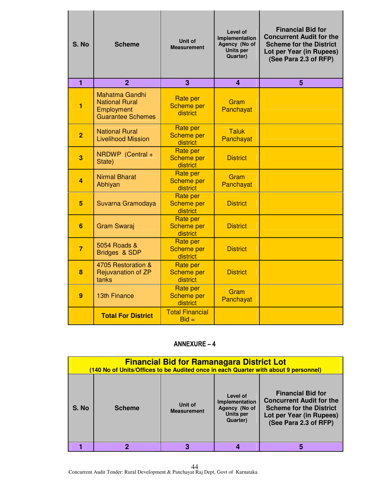| S. No          | <b>Scheme</b>                                                                            | Unit of<br><b>Measurement</b>                    | Level of<br>Implementation<br>Agency (No of<br>Units per<br>Quarter) | <b>Financial Bid for</b><br><b>Concurrent Audit for the</b><br><b>Scheme for the District</b><br>Lot per Year (in Rupees)<br>(See Para 2.3 of RFP) |
|----------------|------------------------------------------------------------------------------------------|--------------------------------------------------|----------------------------------------------------------------------|----------------------------------------------------------------------------------------------------------------------------------------------------|
| $\overline{1}$ | $\overline{2}$                                                                           | 3                                                | 4                                                                    | 5                                                                                                                                                  |
| 1              | <b>Mahatma Gandhi</b><br><b>National Rural</b><br>Employment<br><b>Guarantee Schemes</b> | Rate per<br><b>Scheme per</b><br>district        | Gram<br>Panchayat                                                    |                                                                                                                                                    |
| $\overline{2}$ | <b>National Rural</b><br><b>Livelihood Mission</b>                                       | Rate per<br>Scheme per<br>district               | <b>Taluk</b><br>Panchayat                                            |                                                                                                                                                    |
| 3              | NRDWP (Central +<br>State)                                                               | Rate per<br><b>Scheme per</b><br>district        | <b>District</b>                                                      |                                                                                                                                                    |
| 4              | <b>Nirmal Bharat</b><br>Abhiyan                                                          | Rate per<br><b>Scheme per</b><br>district        | Gram<br>Panchayat                                                    |                                                                                                                                                    |
| 5              | Suvarna Gramodaya                                                                        | Rate per<br><b>Scheme per</b><br>district        | <b>District</b>                                                      |                                                                                                                                                    |
| 6              | <b>Gram Swaraj</b>                                                                       | <b>Rate per</b><br><b>Scheme per</b><br>district | <b>District</b>                                                      |                                                                                                                                                    |
| $\overline{7}$ | 5054 Roads &<br>Bridges & SDP                                                            | Rate per<br><b>Scheme per</b><br>district        | <b>District</b>                                                      |                                                                                                                                                    |
| 8              | 4705 Restoration &<br>Rejuvanation of ZP<br>tanks                                        | <b>Rate per</b><br><b>Scheme per</b><br>district | <b>District</b>                                                      |                                                                                                                                                    |
| 9              | <b>13th Finance</b>                                                                      | <b>Rate per</b><br><b>Scheme per</b><br>district | Gram<br>Panchayat                                                    |                                                                                                                                                    |
|                | <b>Total For District</b>                                                                | <b>Total Financial</b><br>$Bid =$                |                                                                      |                                                                                                                                                    |

| <b>Financial Bid for Ramanagara District Lot</b><br>(140 No of Units/Offices to be Audited once in each Quarter with about 9 personnel) |               |                               |                                                                             |                                                                                                                                                    |  |  |
|-----------------------------------------------------------------------------------------------------------------------------------------|---------------|-------------------------------|-----------------------------------------------------------------------------|----------------------------------------------------------------------------------------------------------------------------------------------------|--|--|
| S. No                                                                                                                                   | <b>Scheme</b> | Unit of<br><b>Measurement</b> | Level of<br>Implementation<br>Agency (No of<br><b>Units per</b><br>Quarter) | <b>Financial Bid for</b><br><b>Concurrent Audit for the</b><br><b>Scheme for the District</b><br>Lot per Year (in Rupees)<br>(See Para 2.3 of RFP) |  |  |
|                                                                                                                                         |               | 3                             |                                                                             |                                                                                                                                                    |  |  |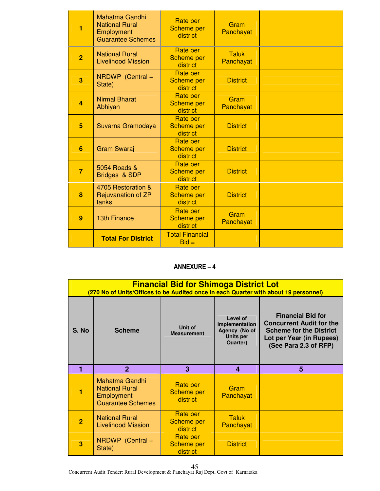| 1              | <b>Mahatma Gandhi</b><br><b>National Rural</b><br>Employment<br><b>Guarantee Schemes</b> | Rate per<br><b>Scheme per</b><br>district        | Gram<br>Panchayat         |  |
|----------------|------------------------------------------------------------------------------------------|--------------------------------------------------|---------------------------|--|
| $\overline{2}$ | <b>National Rural</b><br><b>Livelihood Mission</b>                                       | <b>Rate per</b><br><b>Scheme per</b><br>district | <b>Taluk</b><br>Panchayat |  |
| 3              | NRDWP (Central +<br>State)                                                               | <b>Rate per</b><br><b>Scheme per</b><br>district | <b>District</b>           |  |
| $\overline{a}$ | <b>Nirmal Bharat</b><br>Abhiyan                                                          | Rate per<br><b>Scheme per</b><br>district        | Gram<br>Panchayat         |  |
| 5              | Suvarna Gramodaya                                                                        | Rate per<br><b>Scheme per</b><br>district        | <b>District</b>           |  |
| 6              | <b>Gram Swaraj</b>                                                                       | Rate per<br><b>Scheme per</b><br>district        | <b>District</b>           |  |
| $\overline{7}$ | 5054 Roads &<br>Bridges & SDP                                                            | Rate per<br><b>Scheme per</b><br>district        | <b>District</b>           |  |
| 8              | 4705 Restoration &<br><b>Rejuvanation of ZP</b><br>tanks                                 | <b>Rate per</b><br><b>Scheme per</b><br>district | <b>District</b>           |  |
| 9              | <b>13th Finance</b>                                                                      | Rate per<br><b>Scheme per</b><br>district        | Gram<br>Panchayat         |  |
|                | <b>Total For District</b>                                                                | <b>Total Financial</b><br>$Bid =$                |                           |  |

|                | <b>Financial Bid for Shimoga District Lot</b><br>(270 No of Units/Offices to be Audited once in each Quarter with about 19 personnel) |                                           |                                                                                    |                                                                                                                                                    |  |  |
|----------------|---------------------------------------------------------------------------------------------------------------------------------------|-------------------------------------------|------------------------------------------------------------------------------------|----------------------------------------------------------------------------------------------------------------------------------------------------|--|--|
| S. No          | <b>Scheme</b>                                                                                                                         | Unit of<br><b>Measurement</b>             | Level of<br>Implementation<br>Agency (No of<br><b>Units per</b><br><b>Quarter)</b> | <b>Financial Bid for</b><br><b>Concurrent Audit for the</b><br><b>Scheme for the District</b><br>Lot per Year (in Rupees)<br>(See Para 2.3 of RFP) |  |  |
|                | $\overline{2}$                                                                                                                        | 3                                         | 4                                                                                  | 5                                                                                                                                                  |  |  |
|                | Mahatma Gandhi<br><b>National Rural</b><br>Employment<br><b>Guarantee Schemes</b>                                                     | Rate per<br>Scheme per<br>district        | Gram<br>Panchayat                                                                  |                                                                                                                                                    |  |  |
| $\overline{2}$ | <b>National Rural</b><br><b>Livelihood Mission</b>                                                                                    | Rate per<br><b>Scheme per</b><br>district | Taluk<br>Panchayat                                                                 |                                                                                                                                                    |  |  |
| 3              | NRDWP (Central +                                                                                                                      | Rate per<br>Scheme per                    | <b>District</b>                                                                    |                                                                                                                                                    |  |  |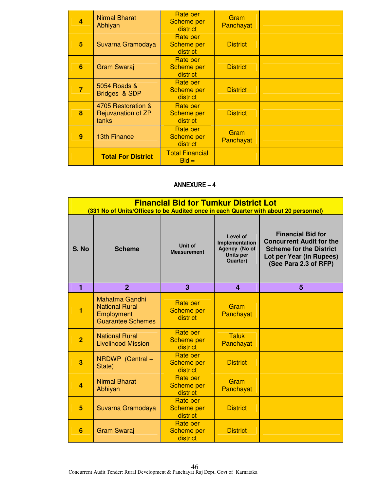| 4 | <b>Nirmal Bharat</b><br>Abhiyan                   | Rate per<br><b>Scheme per</b><br>district | Gram<br>Panchayat |  |
|---|---------------------------------------------------|-------------------------------------------|-------------------|--|
| 5 | Suvarna Gramodaya                                 | Rate per<br><b>Scheme per</b><br>district | <b>District</b>   |  |
| 6 | <b>Gram Swaraj</b>                                | Rate per<br><b>Scheme per</b><br>district | <b>District</b>   |  |
| 7 | 5054 Roads &<br>Bridges & SDP                     | Rate per<br><b>Scheme per</b><br>district | <b>District</b>   |  |
| 8 | 4705 Restoration &<br>Rejuvanation of ZP<br>tanks | Rate per<br><b>Scheme per</b><br>district | <b>District</b>   |  |
| 9 | <b>13th Finance</b>                               | Rate per<br><b>Scheme per</b><br>district | Gram<br>Panchayat |  |
|   | <b>Total For District</b>                         | <b>Total Financial</b><br>$Bid =$         |                   |  |

|                | <b>Financial Bid for Tumkur District Lot</b><br>(331 No of Units/Offices to be Audited once in each Quarter with about 20 personnel) |                                                  |                                                                             |                                                                                                                                                    |  |  |
|----------------|--------------------------------------------------------------------------------------------------------------------------------------|--------------------------------------------------|-----------------------------------------------------------------------------|----------------------------------------------------------------------------------------------------------------------------------------------------|--|--|
| S. No          | <b>Scheme</b>                                                                                                                        | Unit of<br><b>Measurement</b>                    | Level of<br>Implementation<br>Agency (No of<br><b>Units per</b><br>Quarter) | <b>Financial Bid for</b><br><b>Concurrent Audit for the</b><br><b>Scheme for the District</b><br>Lot per Year (in Rupees)<br>(See Para 2.3 of RFP) |  |  |
| 1              | $\overline{2}$                                                                                                                       | 3                                                | $\overline{\mathbf{4}}$                                                     | 5                                                                                                                                                  |  |  |
| 1              | <b>Mahatma Gandhi</b><br><b>National Rural</b><br>Employment<br><b>Guarantee Schemes</b>                                             | <b>Rate per</b><br><b>Scheme per</b><br>district | Gram<br>Panchayat                                                           |                                                                                                                                                    |  |  |
| $\overline{2}$ | <b>National Rural</b><br><b>Livelihood Mission</b>                                                                                   | Rate per<br><b>Scheme per</b><br>district        | <b>Taluk</b><br>Panchayat                                                   |                                                                                                                                                    |  |  |
| 3              | NRDWP (Central +<br>State)                                                                                                           | <b>Rate per</b><br><b>Scheme per</b><br>district | <b>District</b>                                                             |                                                                                                                                                    |  |  |
| $\overline{a}$ | <b>Nirmal Bharat</b><br>Abhiyan                                                                                                      | Rate per<br><b>Scheme per</b><br>district        | Gram<br>Panchayat                                                           |                                                                                                                                                    |  |  |
| 5              | Suvarna Gramodaya                                                                                                                    | <b>Rate per</b><br><b>Scheme per</b><br>district | <b>District</b>                                                             |                                                                                                                                                    |  |  |
| 6              | <b>Gram Swaraj</b>                                                                                                                   | <b>Rate per</b><br><b>Scheme per</b><br>district | <b>District</b>                                                             |                                                                                                                                                    |  |  |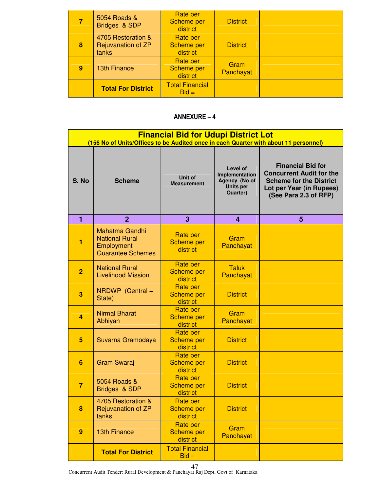|   | 5054 Roads &<br>Bridges & SDP                     | Rate per<br><b>Scheme per</b><br>district | <b>District</b>   |  |
|---|---------------------------------------------------|-------------------------------------------|-------------------|--|
| 8 | 4705 Restoration &<br>Rejuvanation of ZP<br>tanks | Rate per<br><b>Scheme per</b><br>district | <b>District</b>   |  |
| 9 | <b>13th Finance</b>                               | Rate per<br><b>Scheme per</b><br>district | Gram<br>Panchayat |  |
|   | <b>Total For District</b>                         | <b>Total Financial</b><br>$Bid =$         |                   |  |

|                  | <b>Financial Bid for Udupi District Lot</b><br>(156 No of Units/Offices to be Audited once in each Quarter with about 11 personnel) |                                                  |                                                                             |                                                                                                                                                    |  |  |
|------------------|-------------------------------------------------------------------------------------------------------------------------------------|--------------------------------------------------|-----------------------------------------------------------------------------|----------------------------------------------------------------------------------------------------------------------------------------------------|--|--|
| S. No            | <b>Scheme</b>                                                                                                                       | <b>Unit of</b><br><b>Measurement</b>             | Level of<br>Implementation<br>Agency (No of<br><b>Units per</b><br>Quarter) | <b>Financial Bid for</b><br><b>Concurrent Audit for the</b><br><b>Scheme for the District</b><br>Lot per Year (in Rupees)<br>(See Para 2.3 of RFP) |  |  |
| 1                | $\overline{2}$                                                                                                                      | 3                                                | 4                                                                           | 5                                                                                                                                                  |  |  |
| 1                | <b>Mahatma Gandhi</b><br><b>National Rural</b><br>Employment<br><b>Guarantee Schemes</b>                                            | <b>Rate per</b><br><b>Scheme per</b><br>district | Gram<br>Panchayat                                                           |                                                                                                                                                    |  |  |
| $\overline{2}$   | <b>National Rural</b><br><b>Livelihood Mission</b>                                                                                  | <b>Rate per</b><br><b>Scheme per</b><br>district | <b>Taluk</b><br>Panchayat                                                   |                                                                                                                                                    |  |  |
| 3                | NRDWP (Central +<br>State)                                                                                                          | <b>Rate per</b><br><b>Scheme per</b><br>district | <b>District</b>                                                             |                                                                                                                                                    |  |  |
| $\overline{a}$   | <b>Nirmal Bharat</b><br>Abhiyan                                                                                                     | Rate per<br><b>Scheme per</b><br>district        | Gram<br>Panchayat                                                           |                                                                                                                                                    |  |  |
| 5                | Suvarna Gramodaya                                                                                                                   | Rate per<br><b>Scheme per</b><br>district        | <b>District</b>                                                             |                                                                                                                                                    |  |  |
| 6                | <b>Gram Swaraj</b>                                                                                                                  | Rate per<br><b>Scheme per</b><br>district        | <b>District</b>                                                             |                                                                                                                                                    |  |  |
| $\overline{7}$   | 5054 Roads &<br>Bridges & SDP                                                                                                       | Rate per<br><b>Scheme per</b><br>district        | <b>District</b>                                                             |                                                                                                                                                    |  |  |
| 8                | 4705 Restoration &<br>Rejuvanation of ZP<br>tanks                                                                                   | Rate per<br><b>Scheme per</b><br>district        | <b>District</b>                                                             |                                                                                                                                                    |  |  |
| $\boldsymbol{9}$ | <b>13th Finance</b>                                                                                                                 | <b>Rate per</b><br><b>Scheme per</b><br>district | Gram<br>Panchayat                                                           |                                                                                                                                                    |  |  |
|                  | <b>Total For District</b>                                                                                                           | <b>Total Financial</b><br>$Bid =$                |                                                                             |                                                                                                                                                    |  |  |

Concurrent Audit Tender: Rural Development & Panchayat Raj Dept, Govt of Karnataka 47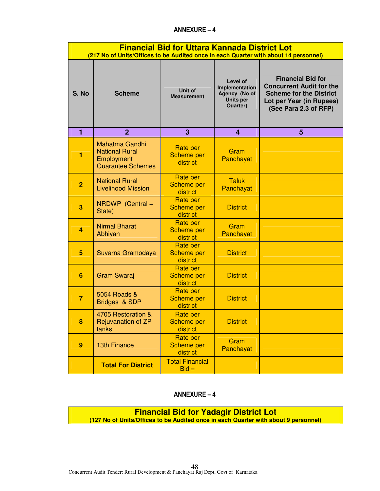|                  | <b>Financial Bid for Uttara Kannada District Lot</b><br>(217 No of Units/Offices to be Audited once in each Quarter with about 14 personnel) |                                           |                                                                             |                                                                                                                                                    |  |  |
|------------------|----------------------------------------------------------------------------------------------------------------------------------------------|-------------------------------------------|-----------------------------------------------------------------------------|----------------------------------------------------------------------------------------------------------------------------------------------------|--|--|
| S. No            | <b>Scheme</b>                                                                                                                                | Unit of<br><b>Measurement</b>             | Level of<br>Implementation<br>Agency (No of<br><b>Units per</b><br>Quarter) | <b>Financial Bid for</b><br><b>Concurrent Audit for the</b><br><b>Scheme for the District</b><br>Lot per Year (in Rupees)<br>(See Para 2.3 of RFP) |  |  |
| 1                | $\overline{2}$                                                                                                                               | 3                                         | 4                                                                           | 5                                                                                                                                                  |  |  |
| 1                | <b>Mahatma Gandhi</b><br><b>National Rural</b><br>Employment<br><b>Guarantee Schemes</b>                                                     | Rate per<br>Scheme per<br>district        | Gram<br>Panchayat                                                           |                                                                                                                                                    |  |  |
| $\overline{2}$   | <b>National Rural</b><br><b>Livelihood Mission</b>                                                                                           | Rate per<br><b>Scheme per</b><br>district | <b>Taluk</b><br>Panchayat                                                   |                                                                                                                                                    |  |  |
| 3                | NRDWP (Central +<br>State)                                                                                                                   | Rate per<br><b>Scheme per</b><br>district | <b>District</b>                                                             |                                                                                                                                                    |  |  |
| 4                | <b>Nirmal Bharat</b><br>Abhiyan                                                                                                              | Rate per<br><b>Scheme per</b><br>district | Gram<br>Panchayat                                                           |                                                                                                                                                    |  |  |
| 5                | Suvarna Gramodaya                                                                                                                            | Rate per<br>Scheme per<br>district        | <b>District</b>                                                             |                                                                                                                                                    |  |  |
| 6                | <b>Gram Swaraj</b>                                                                                                                           | Rate per<br><b>Scheme per</b><br>district | <b>District</b>                                                             |                                                                                                                                                    |  |  |
| $\overline{7}$   | 5054 Roads &<br>Bridges & SDP                                                                                                                | <b>Rate per</b><br>Scheme per<br>district | <b>District</b>                                                             |                                                                                                                                                    |  |  |
| 8                | 4705 Restoration &<br>Rejuvanation of ZP<br>tanks                                                                                            | Rate per<br>Scheme per<br>district        | <b>District</b>                                                             |                                                                                                                                                    |  |  |
| $\boldsymbol{9}$ | <b>13th Finance</b>                                                                                                                          | <b>Rate per</b><br>Scheme per<br>district | Gram<br>Panchayat                                                           |                                                                                                                                                    |  |  |
|                  | <b>Total For District</b>                                                                                                                    | <b>Total Financial</b><br>$Bid =$         |                                                                             |                                                                                                                                                    |  |  |

# ANNEXURE – 4

**Financial Bid for Yadagir District Lot** 

**(127 No of Units/Offices to be Audited once in each Quarter with about 9 personnel)**